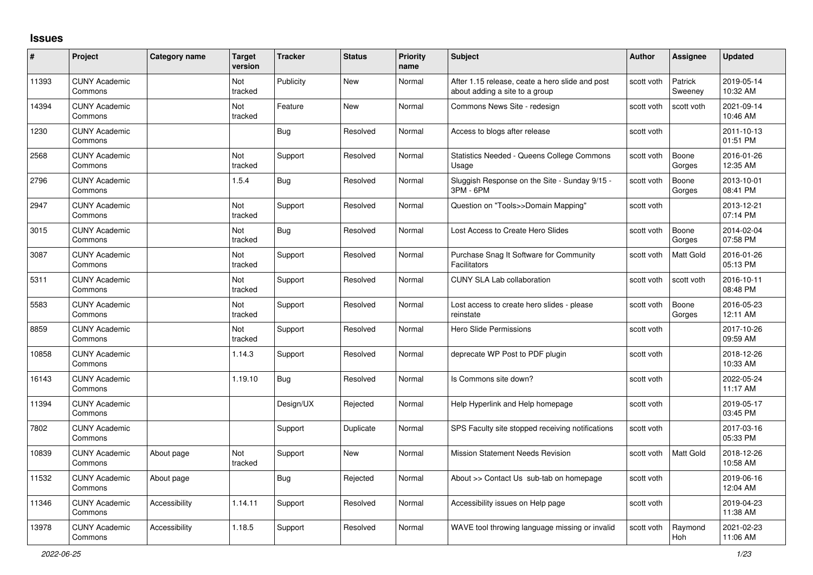## **Issues**

| #     | Project                         | Category name | <b>Target</b><br>version | <b>Tracker</b> | <b>Status</b> | <b>Priority</b><br>name | <b>Subject</b>                                                                    | <b>Author</b> | Assignee           | <b>Updated</b>         |
|-------|---------------------------------|---------------|--------------------------|----------------|---------------|-------------------------|-----------------------------------------------------------------------------------|---------------|--------------------|------------------------|
| 11393 | <b>CUNY Academic</b><br>Commons |               | Not<br>tracked           | Publicity      | <b>New</b>    | Normal                  | After 1.15 release, ceate a hero slide and post<br>about adding a site to a group | scott voth    | Patrick<br>Sweeney | 2019-05-14<br>10:32 AM |
| 14394 | <b>CUNY Academic</b><br>Commons |               | Not<br>tracked           | Feature        | <b>New</b>    | Normal                  | Commons News Site - redesign                                                      | scott voth    | scott voth         | 2021-09-14<br>10:46 AM |
| 1230  | <b>CUNY Academic</b><br>Commons |               |                          | <b>Bug</b>     | Resolved      | Normal                  | Access to blogs after release                                                     | scott voth    |                    | 2011-10-13<br>01:51 PM |
| 2568  | <b>CUNY Academic</b><br>Commons |               | <b>Not</b><br>tracked    | Support        | Resolved      | Normal                  | <b>Statistics Needed - Queens College Commons</b><br>Usage                        | scott voth    | Boone<br>Gorges    | 2016-01-26<br>12:35 AM |
| 2796  | <b>CUNY Academic</b><br>Commons |               | 1.5.4                    | Bug            | Resolved      | Normal                  | Sluggish Response on the Site - Sunday 9/15 -<br>3PM - 6PM                        | scott voth    | Boone<br>Gorges    | 2013-10-01<br>08:41 PM |
| 2947  | <b>CUNY Academic</b><br>Commons |               | Not<br>tracked           | Support        | Resolved      | Normal                  | Question on "Tools>>Domain Mapping"                                               | scott voth    |                    | 2013-12-21<br>07:14 PM |
| 3015  | <b>CUNY Academic</b><br>Commons |               | Not<br>tracked           | Bug            | Resolved      | Normal                  | Lost Access to Create Hero Slides                                                 | scott voth    | Boone<br>Gorges    | 2014-02-04<br>07:58 PM |
| 3087  | <b>CUNY Academic</b><br>Commons |               | Not<br>tracked           | Support        | Resolved      | Normal                  | Purchase Snag It Software for Community<br>Facilitators                           | scott voth    | Matt Gold          | 2016-01-26<br>05:13 PM |
| 5311  | <b>CUNY Academic</b><br>Commons |               | <b>Not</b><br>tracked    | Support        | Resolved      | Normal                  | <b>CUNY SLA Lab collaboration</b>                                                 | scott voth    | scott voth         | 2016-10-11<br>08:48 PM |
| 5583  | <b>CUNY Academic</b><br>Commons |               | Not<br>tracked           | Support        | Resolved      | Normal                  | Lost access to create hero slides - please<br>reinstate                           | scott voth    | Boone<br>Gorges    | 2016-05-23<br>12:11 AM |
| 8859  | <b>CUNY Academic</b><br>Commons |               | Not<br>tracked           | Support        | Resolved      | Normal                  | Hero Slide Permissions                                                            | scott voth    |                    | 2017-10-26<br>09:59 AM |
| 10858 | <b>CUNY Academic</b><br>Commons |               | 1.14.3                   | Support        | Resolved      | Normal                  | deprecate WP Post to PDF plugin                                                   | scott voth    |                    | 2018-12-26<br>10:33 AM |
| 16143 | <b>CUNY Academic</b><br>Commons |               | 1.19.10                  | <b>Bug</b>     | Resolved      | Normal                  | Is Commons site down?                                                             | scott voth    |                    | 2022-05-24<br>11:17 AM |
| 11394 | <b>CUNY Academic</b><br>Commons |               |                          | Design/UX      | Rejected      | Normal                  | Help Hyperlink and Help homepage                                                  | scott voth    |                    | 2019-05-17<br>03:45 PM |
| 7802  | <b>CUNY Academic</b><br>Commons |               |                          | Support        | Duplicate     | Normal                  | SPS Faculty site stopped receiving notifications                                  | scott voth    |                    | 2017-03-16<br>05:33 PM |
| 10839 | <b>CUNY Academic</b><br>Commons | About page    | Not<br>tracked           | Support        | <b>New</b>    | Normal                  | <b>Mission Statement Needs Revision</b>                                           | scott voth    | <b>Matt Gold</b>   | 2018-12-26<br>10:58 AM |
| 11532 | <b>CUNY Academic</b><br>Commons | About page    |                          | <b>Bug</b>     | Rejected      | Normal                  | About >> Contact Us sub-tab on homepage                                           | scott voth    |                    | 2019-06-16<br>12:04 AM |
| 11346 | <b>CUNY Academic</b><br>Commons | Accessibility | 1.14.11                  | Support        | Resolved      | Normal                  | Accessibility issues on Help page                                                 | scott voth    |                    | 2019-04-23<br>11:38 AM |
| 13978 | <b>CUNY Academic</b><br>Commons | Accessibility | 1.18.5                   | Support        | Resolved      | Normal                  | WAVE tool throwing language missing or invalid                                    | scott voth    | Raymond<br>Hoh     | 2021-02-23<br>11:06 AM |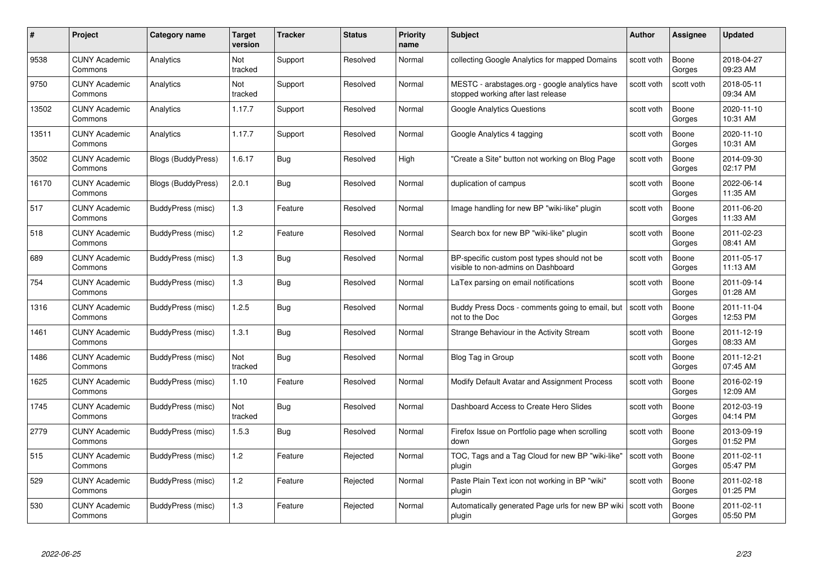| #     | Project                         | <b>Category name</b>      | Target<br>version | <b>Tracker</b> | <b>Status</b> | <b>Priority</b><br>name | <b>Subject</b>                                                                       | <b>Author</b> | <b>Assignee</b> | <b>Updated</b>         |
|-------|---------------------------------|---------------------------|-------------------|----------------|---------------|-------------------------|--------------------------------------------------------------------------------------|---------------|-----------------|------------------------|
| 9538  | <b>CUNY Academic</b><br>Commons | Analytics                 | Not<br>tracked    | Support        | Resolved      | Normal                  | collecting Google Analytics for mapped Domains                                       | scott voth    | Boone<br>Gorges | 2018-04-27<br>09:23 AM |
| 9750  | <b>CUNY Academic</b><br>Commons | Analytics                 | Not<br>tracked    | Support        | Resolved      | Normal                  | MESTC - arabstages.org - google analytics have<br>stopped working after last release | scott voth    | scott voth      | 2018-05-11<br>09:34 AM |
| 13502 | <b>CUNY Academic</b><br>Commons | Analytics                 | 1.17.7            | Support        | Resolved      | Normal                  | Google Analytics Questions                                                           | scott voth    | Boone<br>Gorges | 2020-11-10<br>10:31 AM |
| 13511 | <b>CUNY Academic</b><br>Commons | Analytics                 | 1.17.7            | Support        | Resolved      | Normal                  | Google Analytics 4 tagging                                                           | scott voth    | Boone<br>Gorges | 2020-11-10<br>10:31 AM |
| 3502  | CUNY Academic<br>Commons        | <b>Blogs (BuddyPress)</b> | 1.6.17            | <b>Bug</b>     | Resolved      | High                    | "Create a Site" button not working on Blog Page                                      | scott voth    | Boone<br>Gorges | 2014-09-30<br>02:17 PM |
| 16170 | <b>CUNY Academic</b><br>Commons | Blogs (BuddyPress)        | 2.0.1             | <b>Bug</b>     | Resolved      | Normal                  | duplication of campus                                                                | scott voth    | Boone<br>Gorges | 2022-06-14<br>11:35 AM |
| 517   | <b>CUNY Academic</b><br>Commons | BuddyPress (misc)         | 1.3               | Feature        | Resolved      | Normal                  | Image handling for new BP "wiki-like" plugin                                         | scott voth    | Boone<br>Gorges | 2011-06-20<br>11:33 AM |
| 518   | <b>CUNY Academic</b><br>Commons | BuddyPress (misc)         | 1.2               | Feature        | Resolved      | Normal                  | Search box for new BP "wiki-like" plugin                                             | scott voth    | Boone<br>Gorges | 2011-02-23<br>08:41 AM |
| 689   | <b>CUNY Academic</b><br>Commons | BuddyPress (misc)         | $1.3$             | Bug            | Resolved      | Normal                  | BP-specific custom post types should not be<br>visible to non-admins on Dashboard    | scott voth    | Boone<br>Gorges | 2011-05-17<br>11:13 AM |
| 754   | <b>CUNY Academic</b><br>Commons | BuddyPress (misc)         | 1.3               | Bug            | Resolved      | Normal                  | LaTex parsing on email notifications                                                 | scott voth    | Boone<br>Gorges | 2011-09-14<br>01:28 AM |
| 1316  | CUNY Academic<br>Commons        | BuddyPress (misc)         | 1.2.5             | <b>Bug</b>     | Resolved      | Normal                  | Buddy Press Docs - comments going to email, but<br>not to the Doc                    | scott voth    | Boone<br>Gorges | 2011-11-04<br>12:53 PM |
| 1461  | <b>CUNY Academic</b><br>Commons | BuddyPress (misc)         | 1.3.1             | <b>Bug</b>     | Resolved      | Normal                  | Strange Behaviour in the Activity Stream                                             | scott voth    | Boone<br>Gorges | 2011-12-19<br>08:33 AM |
| 1486  | <b>CUNY Academic</b><br>Commons | BuddyPress (misc)         | Not<br>tracked    | Bug            | Resolved      | Normal                  | Blog Tag in Group                                                                    | scott voth    | Boone<br>Gorges | 2011-12-21<br>07:45 AM |
| 1625  | <b>CUNY Academic</b><br>Commons | BuddyPress (misc)         | 1.10              | Feature        | Resolved      | Normal                  | Modify Default Avatar and Assignment Process                                         | scott voth    | Boone<br>Gorges | 2016-02-19<br>12:09 AM |
| 1745  | <b>CUNY Academic</b><br>Commons | BuddyPress (misc)         | Not<br>tracked    | <b>Bug</b>     | Resolved      | Normal                  | Dashboard Access to Create Hero Slides                                               | scott voth    | Boone<br>Gorges | 2012-03-19<br>04:14 PM |
| 2779  | <b>CUNY Academic</b><br>Commons | BuddyPress (misc)         | 1.5.3             | Bug            | Resolved      | Normal                  | Firefox Issue on Portfolio page when scrolling<br>down                               | scott voth    | Boone<br>Gorges | 2013-09-19<br>01:52 PM |
| 515   | <b>CUNY Academic</b><br>Commons | BuddyPress (misc)         | 1.2               | Feature        | Rejected      | Normal                  | TOC, Tags and a Tag Cloud for new BP "wiki-like"<br>plugin                           | scott voth    | Boone<br>Gorges | 2011-02-11<br>05:47 PM |
| 529   | <b>CUNY Academic</b><br>Commons | BuddyPress (misc)         | 1.2               | Feature        | Rejected      | Normal                  | Paste Plain Text icon not working in BP "wiki"<br>plugin                             | scott voth    | Boone<br>Gorges | 2011-02-18<br>01:25 PM |
| 530   | CUNY Academic<br>Commons        | BuddyPress (misc)         | 1.3               | Feature        | Rejected      | Normal                  | Automatically generated Page urls for new BP wiki   scott voth<br>plugin             |               | Boone<br>Gorges | 2011-02-11<br>05:50 PM |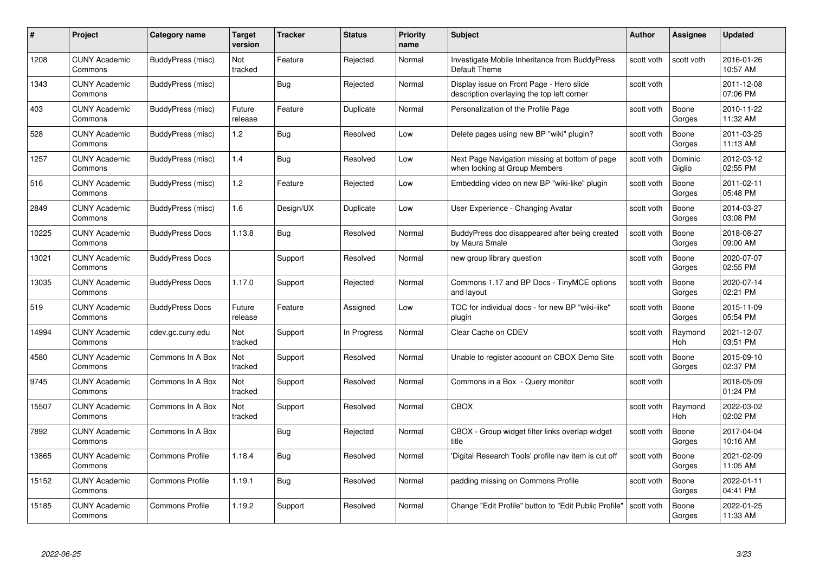| #     | Project                         | <b>Category name</b>   | Target<br>version | <b>Tracker</b> | <b>Status</b> | <b>Priority</b><br>name | <b>Subject</b>                                                                         | <b>Author</b> | <b>Assignee</b>   | <b>Updated</b>         |
|-------|---------------------------------|------------------------|-------------------|----------------|---------------|-------------------------|----------------------------------------------------------------------------------------|---------------|-------------------|------------------------|
| 1208  | <b>CUNY Academic</b><br>Commons | BuddyPress (misc)      | Not<br>tracked    | Feature        | Rejected      | Normal                  | Investigate Mobile Inheritance from BuddyPress<br>Default Theme                        | scott voth    | scott voth        | 2016-01-26<br>10:57 AM |
| 1343  | <b>CUNY Academic</b><br>Commons | BuddyPress (misc)      |                   | Bug            | Rejected      | Normal                  | Display issue on Front Page - Hero slide<br>description overlaying the top left corner | scott voth    |                   | 2011-12-08<br>07:06 PM |
| 403   | <b>CUNY Academic</b><br>Commons | BuddyPress (misc)      | Future<br>release | Feature        | Duplicate     | Normal                  | Personalization of the Profile Page                                                    | scott voth    | Boone<br>Gorges   | 2010-11-22<br>11:32 AM |
| 528   | <b>CUNY Academic</b><br>Commons | BuddyPress (misc)      | 1.2               | <b>Bug</b>     | Resolved      | Low                     | Delete pages using new BP "wiki" plugin?                                               | scott voth    | Boone<br>Gorges   | 2011-03-25<br>11:13 AM |
| 1257  | CUNY Academic<br>Commons        | BuddyPress (misc)      | 1.4               | Bug            | Resolved      | Low                     | Next Page Navigation missing at bottom of page<br>when looking at Group Members        | scott voth    | Dominic<br>Giglio | 2012-03-12<br>02:55 PM |
| 516   | <b>CUNY Academic</b><br>Commons | BuddyPress (misc)      | 1.2               | Feature        | Rejected      | Low                     | Embedding video on new BP "wiki-like" plugin                                           | scott voth    | Boone<br>Gorges   | 2011-02-11<br>05:48 PM |
| 2849  | <b>CUNY Academic</b><br>Commons | BuddyPress (misc)      | 1.6               | Design/UX      | Duplicate     | Low                     | User Experience - Changing Avatar                                                      | scott voth    | Boone<br>Gorges   | 2014-03-27<br>03:08 PM |
| 10225 | <b>CUNY Academic</b><br>Commons | <b>BuddyPress Docs</b> | 1.13.8            | <b>Bug</b>     | Resolved      | Normal                  | BuddyPress doc disappeared after being created<br>by Maura Smale                       | scott voth    | Boone<br>Gorges   | 2018-08-27<br>09:00 AM |
| 13021 | <b>CUNY Academic</b><br>Commons | <b>BuddyPress Docs</b> |                   | Support        | Resolved      | Normal                  | new group library question                                                             | scott voth    | Boone<br>Gorges   | 2020-07-07<br>02:55 PM |
| 13035 | <b>CUNY Academic</b><br>Commons | <b>BuddyPress Docs</b> | 1.17.0            | Support        | Rejected      | Normal                  | Commons 1.17 and BP Docs - TinyMCE options<br>and layout                               | scott voth    | Boone<br>Gorges   | 2020-07-14<br>02:21 PM |
| 519   | CUNY Academic<br>Commons        | <b>BuddyPress Docs</b> | Future<br>release | Feature        | Assigned      | Low                     | TOC for individual docs - for new BP "wiki-like"<br>plugin                             | scott voth    | Boone<br>Gorges   | 2015-11-09<br>05:54 PM |
| 14994 | <b>CUNY Academic</b><br>Commons | cdev.gc.cuny.edu       | Not<br>tracked    | Support        | In Progress   | Normal                  | Clear Cache on CDEV                                                                    | scott voth    | Raymond<br>Hoh    | 2021-12-07<br>03:51 PM |
| 4580  | <b>CUNY Academic</b><br>Commons | Commons In A Box       | Not<br>tracked    | Support        | Resolved      | Normal                  | Unable to register account on CBOX Demo Site                                           | scott voth    | Boone<br>Gorges   | 2015-09-10<br>02:37 PM |
| 9745  | <b>CUNY Academic</b><br>Commons | Commons In A Box       | Not<br>tracked    | Support        | Resolved      | Normal                  | Commons in a Box - Query monitor                                                       | scott voth    |                   | 2018-05-09<br>01:24 PM |
| 15507 | <b>CUNY Academic</b><br>Commons | Commons In A Box       | Not<br>tracked    | Support        | Resolved      | Normal                  | <b>CBOX</b>                                                                            | scott voth    | Raymond<br>Hoh    | 2022-03-02<br>02:02 PM |
| 7892  | <b>CUNY Academic</b><br>Commons | Commons In A Box       |                   | Bug            | Rejected      | Normal                  | CBOX - Group widget filter links overlap widget<br>title                               | scott voth    | Boone<br>Gorges   | 2017-04-04<br>10:16 AM |
| 13865 | <b>CUNY Academic</b><br>Commons | <b>Commons Profile</b> | 1.18.4            | Bug            | Resolved      | Normal                  | 'Digital Research Tools' profile nav item is cut off                                   | scott voth    | Boone<br>Gorges   | 2021-02-09<br>11:05 AM |
| 15152 | <b>CUNY Academic</b><br>Commons | <b>Commons Profile</b> | 1.19.1            | <b>Bug</b>     | Resolved      | Normal                  | padding missing on Commons Profile                                                     | scott voth    | Boone<br>Gorges   | 2022-01-11<br>04:41 PM |
| 15185 | CUNY Academic<br>Commons        | <b>Commons Profile</b> | 1.19.2            | Support        | Resolved      | Normal                  | Change "Edit Profile" button to "Edit Public Profile"                                  | scott voth    | Boone<br>Gorges   | 2022-01-25<br>11:33 AM |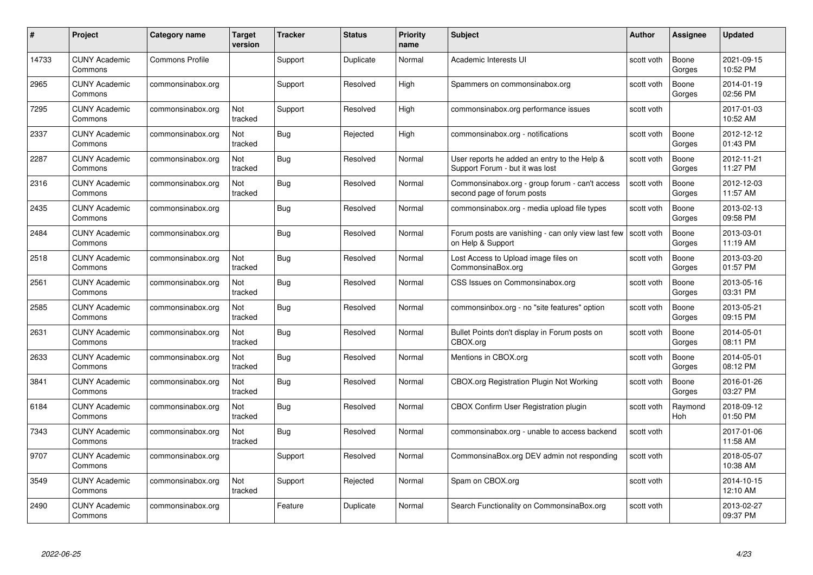| #     | Project                         | Category name          | Target<br>version | <b>Tracker</b> | <b>Status</b> | <b>Priority</b><br>name | <b>Subject</b>                                                                  | Author     | <b>Assignee</b> | <b>Updated</b>         |
|-------|---------------------------------|------------------------|-------------------|----------------|---------------|-------------------------|---------------------------------------------------------------------------------|------------|-----------------|------------------------|
| 14733 | <b>CUNY Academic</b><br>Commons | <b>Commons Profile</b> |                   | Support        | Duplicate     | Normal                  | Academic Interests UI                                                           | scott voth | Boone<br>Gorges | 2021-09-15<br>10:52 PM |
| 2965  | <b>CUNY Academic</b><br>Commons | commonsinabox.org      |                   | Support        | Resolved      | High                    | Spammers on commonsinabox.org                                                   | scott voth | Boone<br>Gorges | 2014-01-19<br>02:56 PM |
| 7295  | <b>CUNY Academic</b><br>Commons | commonsinabox.org      | Not<br>tracked    | Support        | Resolved      | High                    | commonsinabox.org performance issues                                            | scott voth |                 | 2017-01-03<br>10:52 AM |
| 2337  | <b>CUNY Academic</b><br>Commons | commonsinabox.org      | Not<br>tracked    | <b>Bug</b>     | Rejected      | High                    | commonsinabox.org - notifications                                               | scott voth | Boone<br>Gorges | 2012-12-12<br>01:43 PM |
| 2287  | <b>CUNY Academic</b><br>Commons | commonsinabox.org      | Not<br>tracked    | Bug            | Resolved      | Normal                  | User reports he added an entry to the Help &<br>Support Forum - but it was lost | scott voth | Boone<br>Gorges | 2012-11-21<br>11:27 PM |
| 2316  | <b>CUNY Academic</b><br>Commons | commonsinabox.org      | Not<br>tracked    | Bug            | Resolved      | Normal                  | Commonsinabox.org - group forum - can't access<br>second page of forum posts    | scott voth | Boone<br>Gorges | 2012-12-03<br>11:57 AM |
| 2435  | <b>CUNY Academic</b><br>Commons | commonsinabox.org      |                   | Bug            | Resolved      | Normal                  | commonsinabox.org - media upload file types                                     | scott voth | Boone<br>Gorges | 2013-02-13<br>09:58 PM |
| 2484  | <b>CUNY Academic</b><br>Commons | commonsinabox.org      |                   | <b>Bug</b>     | Resolved      | Normal                  | Forum posts are vanishing - can only view last few<br>on Help & Support         | scott voth | Boone<br>Gorges | 2013-03-01<br>11:19 AM |
| 2518  | <b>CUNY Academic</b><br>Commons | commonsinabox.org      | Not<br>tracked    | Bug            | Resolved      | Normal                  | Lost Access to Upload image files on<br>CommonsinaBox.org                       | scott voth | Boone<br>Gorges | 2013-03-20<br>01:57 PM |
| 2561  | <b>CUNY Academic</b><br>Commons | commonsinabox.org      | Not<br>tracked    | <b>Bug</b>     | Resolved      | Normal                  | CSS Issues on Commonsinabox.org                                                 | scott voth | Boone<br>Gorges | 2013-05-16<br>03:31 PM |
| 2585  | <b>CUNY Academic</b><br>Commons | commonsinabox.org      | Not<br>tracked    | Bug            | Resolved      | Normal                  | commonsinbox.org - no "site features" option                                    | scott voth | Boone<br>Gorges | 2013-05-21<br>09:15 PM |
| 2631  | <b>CUNY Academic</b><br>Commons | commonsinabox.org      | Not<br>tracked    | <b>Bug</b>     | Resolved      | Normal                  | Bullet Points don't display in Forum posts on<br>CBOX.org                       | scott voth | Boone<br>Gorges | 2014-05-01<br>08:11 PM |
| 2633  | <b>CUNY Academic</b><br>Commons | commonsinabox.org      | Not<br>tracked    | <b>Bug</b>     | Resolved      | Normal                  | Mentions in CBOX.org                                                            | scott voth | Boone<br>Gorges | 2014-05-01<br>08:12 PM |
| 3841  | <b>CUNY Academic</b><br>Commons | commonsinabox.org      | Not<br>tracked    | Bug            | Resolved      | Normal                  | CBOX.org Registration Plugin Not Working                                        | scott voth | Boone<br>Gorges | 2016-01-26<br>03:27 PM |
| 6184  | <b>CUNY Academic</b><br>Commons | commonsinabox.org      | Not<br>tracked    | Bug            | Resolved      | Normal                  | CBOX Confirm User Registration plugin                                           | scott voth | Raymond<br>Hoh  | 2018-09-12<br>01:50 PM |
| 7343  | <b>CUNY Academic</b><br>Commons | commonsinabox.org      | Not<br>tracked    | <b>Bug</b>     | Resolved      | Normal                  | commonsinabox.org - unable to access backend                                    | scott voth |                 | 2017-01-06<br>11:58 AM |
| 9707  | <b>CUNY Academic</b><br>Commons | commonsinabox.org      |                   | Support        | Resolved      | Normal                  | CommonsinaBox.org DEV admin not responding                                      | scott voth |                 | 2018-05-07<br>10:38 AM |
| 3549  | <b>CUNY Academic</b><br>Commons | commonsinabox.org      | Not<br>tracked    | Support        | Rejected      | Normal                  | Spam on CBOX.org                                                                | scott voth |                 | 2014-10-15<br>12:10 AM |
| 2490  | <b>CUNY Academic</b><br>Commons | commonsinabox.org      |                   | Feature        | Duplicate     | Normal                  | Search Functionality on CommonsinaBox.org                                       | scott voth |                 | 2013-02-27<br>09:37 PM |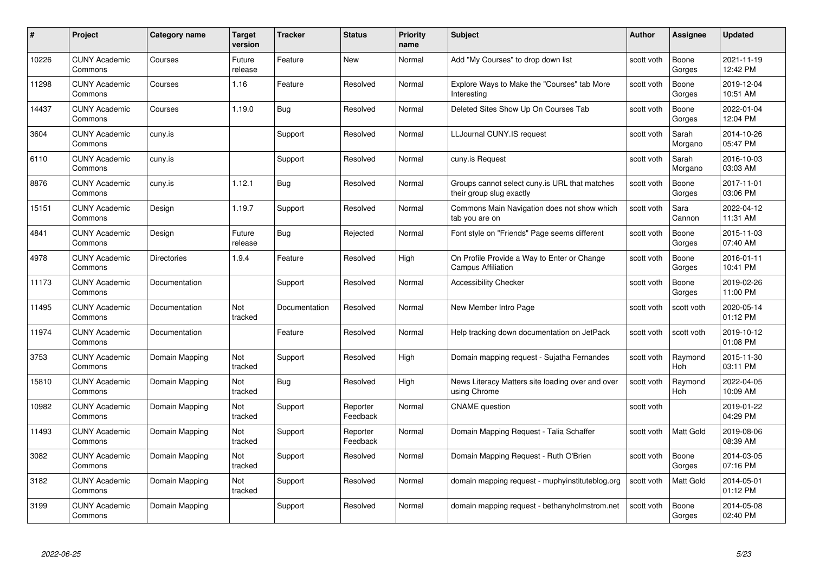| #     | Project                         | Category name      | <b>Target</b><br>version | <b>Tracker</b> | <b>Status</b>        | <b>Priority</b><br>name | <b>Subject</b>                                                            | <b>Author</b> | <b>Assignee</b>       | <b>Updated</b>         |
|-------|---------------------------------|--------------------|--------------------------|----------------|----------------------|-------------------------|---------------------------------------------------------------------------|---------------|-----------------------|------------------------|
| 10226 | <b>CUNY Academic</b><br>Commons | Courses            | Future<br>release        | Feature        | <b>New</b>           | Normal                  | Add "My Courses" to drop down list                                        | scott voth    | Boone<br>Gorges       | 2021-11-19<br>12:42 PM |
| 11298 | <b>CUNY Academic</b><br>Commons | Courses            | 1.16                     | Feature        | Resolved             | Normal                  | Explore Ways to Make the "Courses" tab More<br>Interesting                | scott voth    | Boone<br>Gorges       | 2019-12-04<br>10:51 AM |
| 14437 | <b>CUNY Academic</b><br>Commons | Courses            | 1.19.0                   | <b>Bug</b>     | Resolved             | Normal                  | Deleted Sites Show Up On Courses Tab                                      | scott voth    | Boone<br>Gorges       | 2022-01-04<br>12:04 PM |
| 3604  | <b>CUNY Academic</b><br>Commons | cuny.is            |                          | Support        | Resolved             | Normal                  | LLJournal CUNY.IS request                                                 | scott voth    | Sarah<br>Morgano      | 2014-10-26<br>05:47 PM |
| 6110  | <b>CUNY Academic</b><br>Commons | cuny.is            |                          | Support        | Resolved             | Normal                  | cuny.is Request                                                           | scott voth    | Sarah<br>Morgano      | 2016-10-03<br>03:03 AM |
| 8876  | <b>CUNY Academic</b><br>Commons | cuny.is            | 1.12.1                   | Bug            | Resolved             | Normal                  | Groups cannot select cuny is URL that matches<br>their group slug exactly | scott voth    | Boone<br>Gorges       | 2017-11-01<br>03:06 PM |
| 15151 | <b>CUNY Academic</b><br>Commons | Design             | 1.19.7                   | Support        | Resolved             | Normal                  | Commons Main Navigation does not show which<br>tab you are on             | scott voth    | Sara<br>Cannon        | 2022-04-12<br>11:31 AM |
| 4841  | <b>CUNY Academic</b><br>Commons | Design             | Future<br>release        | Bug            | Rejected             | Normal                  | Font style on "Friends" Page seems different                              | scott voth    | Boone<br>Gorges       | 2015-11-03<br>07:40 AM |
| 4978  | <b>CUNY Academic</b><br>Commons | <b>Directories</b> | 1.9.4                    | Feature        | Resolved             | High                    | On Profile Provide a Way to Enter or Change<br>Campus Affiliation         | scott voth    | Boone<br>Gorges       | 2016-01-11<br>10:41 PM |
| 11173 | <b>CUNY Academic</b><br>Commons | Documentation      |                          | Support        | Resolved             | Normal                  | <b>Accessibility Checker</b>                                              | scott voth    | Boone<br>Gorges       | 2019-02-26<br>11:00 PM |
| 11495 | <b>CUNY Academic</b><br>Commons | Documentation      | Not<br>tracked           | Documentation  | Resolved             | Normal                  | New Member Intro Page                                                     | scott voth    | scott voth            | 2020-05-14<br>01:12 PM |
| 11974 | <b>CUNY Academic</b><br>Commons | Documentation      |                          | Feature        | Resolved             | Normal                  | Help tracking down documentation on JetPack                               | scott voth    | scott voth            | 2019-10-12<br>01:08 PM |
| 3753  | <b>CUNY Academic</b><br>Commons | Domain Mapping     | Not<br>tracked           | Support        | Resolved             | High                    | Domain mapping request - Sujatha Fernandes                                | scott voth    | Raymond<br>Hoh        | 2015-11-30<br>03:11 PM |
| 15810 | <b>CUNY Academic</b><br>Commons | Domain Mapping     | Not<br>tracked           | Bug            | Resolved             | High                    | News Literacy Matters site loading over and over<br>using Chrome          | scott voth    | Raymond<br><b>Hoh</b> | 2022-04-05<br>10:09 AM |
| 10982 | <b>CUNY Academic</b><br>Commons | Domain Mapping     | Not<br>tracked           | Support        | Reporter<br>Feedback | Normal                  | <b>CNAME</b> question                                                     | scott voth    |                       | 2019-01-22<br>04:29 PM |
| 11493 | <b>CUNY Academic</b><br>Commons | Domain Mapping     | Not<br>tracked           | Support        | Reporter<br>Feedback | Normal                  | Domain Mapping Request - Talia Schaffer                                   | scott voth    | Matt Gold             | 2019-08-06<br>08:39 AM |
| 3082  | <b>CUNY Academic</b><br>Commons | Domain Mapping     | Not<br>tracked           | Support        | Resolved             | Normal                  | Domain Mapping Request - Ruth O'Brien                                     | scott voth    | Boone<br>Gorges       | 2014-03-05<br>07:16 PM |
| 3182  | <b>CUNY Academic</b><br>Commons | Domain Mapping     | Not<br>tracked           | Support        | Resolved             | Normal                  | domain mapping request - muphyinstituteblog.org                           | scott voth    | Matt Gold             | 2014-05-01<br>01:12 PM |
| 3199  | <b>CUNY Academic</b><br>Commons | Domain Mapping     |                          | Support        | Resolved             | Normal                  | domain mapping request - bethanyholmstrom.net                             | scott voth    | Boone<br>Gorges       | 2014-05-08<br>02:40 PM |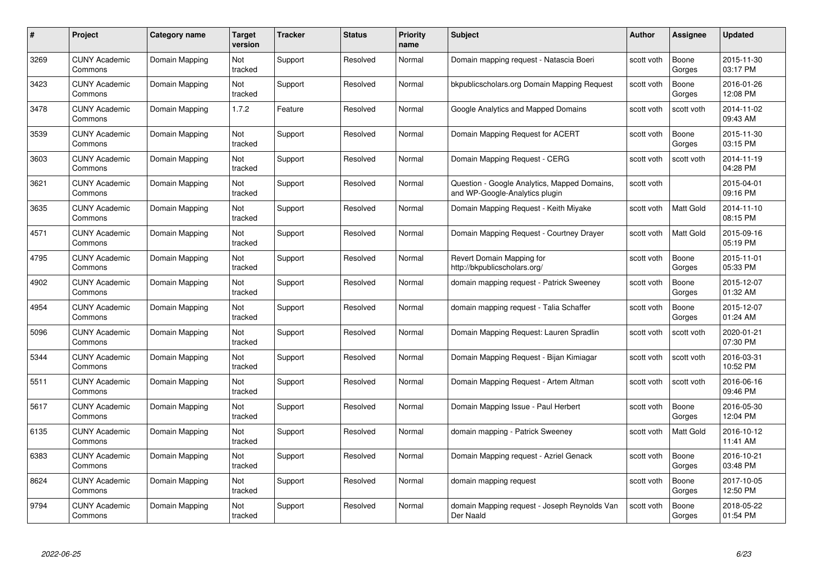| #    | Project                         | Category name  | Target<br>version | <b>Tracker</b> | <b>Status</b> | <b>Priority</b><br>name | <b>Subject</b>                                                                 | Author     | Assignee        | <b>Updated</b>         |
|------|---------------------------------|----------------|-------------------|----------------|---------------|-------------------------|--------------------------------------------------------------------------------|------------|-----------------|------------------------|
| 3269 | <b>CUNY Academic</b><br>Commons | Domain Mapping | Not<br>tracked    | Support        | Resolved      | Normal                  | Domain mapping request - Natascia Boeri                                        | scott voth | Boone<br>Gorges | 2015-11-30<br>03:17 PM |
| 3423 | <b>CUNY Academic</b><br>Commons | Domain Mapping | Not<br>tracked    | Support        | Resolved      | Normal                  | bkpublicscholars.org Domain Mapping Request                                    | scott voth | Boone<br>Gorges | 2016-01-26<br>12:08 PM |
| 3478 | <b>CUNY Academic</b><br>Commons | Domain Mapping | 1.7.2             | Feature        | Resolved      | Normal                  | Google Analytics and Mapped Domains                                            | scott voth | scott voth      | 2014-11-02<br>09:43 AM |
| 3539 | <b>CUNY Academic</b><br>Commons | Domain Mapping | Not<br>tracked    | Support        | Resolved      | Normal                  | Domain Mapping Request for ACERT                                               | scott voth | Boone<br>Gorges | 2015-11-30<br>03:15 PM |
| 3603 | <b>CUNY Academic</b><br>Commons | Domain Mapping | Not<br>tracked    | Support        | Resolved      | Normal                  | Domain Mapping Request - CERG                                                  | scott voth | scott voth      | 2014-11-19<br>04:28 PM |
| 3621 | <b>CUNY Academic</b><br>Commons | Domain Mapping | Not<br>tracked    | Support        | Resolved      | Normal                  | Question - Google Analytics, Mapped Domains,<br>and WP-Google-Analytics plugin | scott voth |                 | 2015-04-01<br>09:16 PM |
| 3635 | <b>CUNY Academic</b><br>Commons | Domain Mapping | Not<br>tracked    | Support        | Resolved      | Normal                  | Domain Mapping Request - Keith Miyake                                          | scott voth | Matt Gold       | 2014-11-10<br>08:15 PM |
| 4571 | <b>CUNY Academic</b><br>Commons | Domain Mapping | Not<br>tracked    | Support        | Resolved      | Normal                  | Domain Mapping Request - Courtney Drayer                                       | scott voth | Matt Gold       | 2015-09-16<br>05:19 PM |
| 4795 | <b>CUNY Academic</b><br>Commons | Domain Mapping | Not<br>tracked    | Support        | Resolved      | Normal                  | Revert Domain Mapping for<br>http://bkpublicscholars.org/                      | scott voth | Boone<br>Gorges | 2015-11-01<br>05:33 PM |
| 4902 | <b>CUNY Academic</b><br>Commons | Domain Mapping | Not<br>tracked    | Support        | Resolved      | Normal                  | domain mapping reguest - Patrick Sweeney                                       | scott voth | Boone<br>Gorges | 2015-12-07<br>01:32 AM |
| 4954 | CUNY Academic<br>Commons        | Domain Mapping | Not<br>tracked    | Support        | Resolved      | Normal                  | domain mapping request - Talia Schaffer                                        | scott voth | Boone<br>Gorges | 2015-12-07<br>01:24 AM |
| 5096 | <b>CUNY Academic</b><br>Commons | Domain Mapping | Not<br>tracked    | Support        | Resolved      | Normal                  | Domain Mapping Request: Lauren Spradlin                                        | scott voth | scott voth      | 2020-01-21<br>07:30 PM |
| 5344 | <b>CUNY Academic</b><br>Commons | Domain Mapping | Not<br>tracked    | Support        | Resolved      | Normal                  | Domain Mapping Request - Bijan Kimiagar                                        | scott voth | scott voth      | 2016-03-31<br>10:52 PM |
| 5511 | <b>CUNY Academic</b><br>Commons | Domain Mapping | Not<br>tracked    | Support        | Resolved      | Normal                  | Domain Mapping Request - Artem Altman                                          | scott voth | scott voth      | 2016-06-16<br>09:46 PM |
| 5617 | <b>CUNY Academic</b><br>Commons | Domain Mapping | Not<br>tracked    | Support        | Resolved      | Normal                  | Domain Mapping Issue - Paul Herbert                                            | scott voth | Boone<br>Gorges | 2016-05-30<br>12:04 PM |
| 6135 | <b>CUNY Academic</b><br>Commons | Domain Mapping | Not<br>tracked    | Support        | Resolved      | Normal                  | domain mapping - Patrick Sweeney                                               | scott voth | Matt Gold       | 2016-10-12<br>11:41 AM |
| 6383 | <b>CUNY Academic</b><br>Commons | Domain Mapping | Not<br>tracked    | Support        | Resolved      | Normal                  | Domain Mapping request - Azriel Genack                                         | scott voth | Boone<br>Gorges | 2016-10-21<br>03:48 PM |
| 8624 | <b>CUNY Academic</b><br>Commons | Domain Mapping | Not<br>tracked    | Support        | Resolved      | Normal                  | domain mapping request                                                         | scott voth | Boone<br>Gorges | 2017-10-05<br>12:50 PM |
| 9794 | CUNY Academic<br>Commons        | Domain Mapping | Not<br>tracked    | Support        | Resolved      | Normal                  | domain Mapping request - Joseph Reynolds Van<br>Der Naald                      | scott voth | Boone<br>Gorges | 2018-05-22<br>01:54 PM |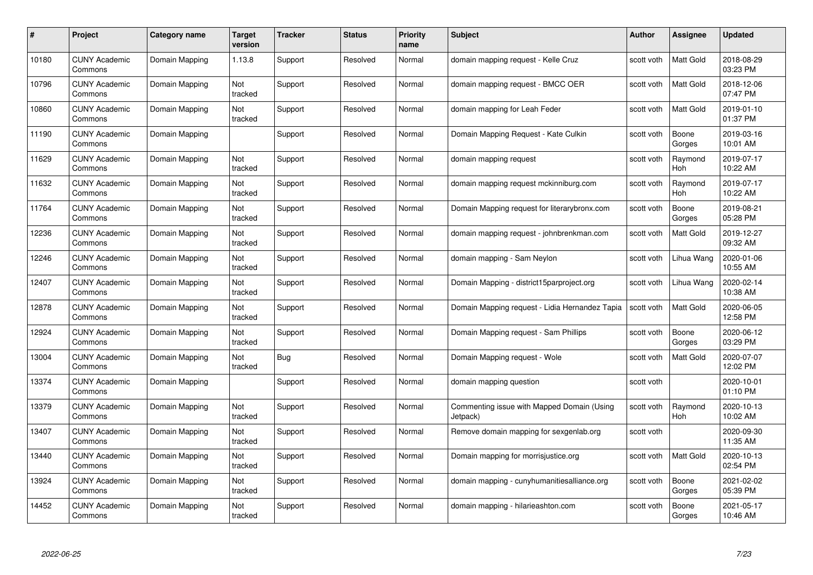| #     | Project                         | Category name  | Target<br>version | <b>Tracker</b> | <b>Status</b> | <b>Priority</b><br>name | <b>Subject</b>                                         | Author     | <b>Assignee</b>       | <b>Updated</b>         |
|-------|---------------------------------|----------------|-------------------|----------------|---------------|-------------------------|--------------------------------------------------------|------------|-----------------------|------------------------|
| 10180 | <b>CUNY Academic</b><br>Commons | Domain Mapping | 1.13.8            | Support        | Resolved      | Normal                  | domain mapping request - Kelle Cruz                    | scott voth | <b>Matt Gold</b>      | 2018-08-29<br>03:23 PM |
| 10796 | <b>CUNY Academic</b><br>Commons | Domain Mapping | Not<br>tracked    | Support        | Resolved      | Normal                  | domain mapping request - BMCC OER                      | scott voth | Matt Gold             | 2018-12-06<br>07:47 PM |
| 10860 | <b>CUNY Academic</b><br>Commons | Domain Mapping | Not<br>tracked    | Support        | Resolved      | Normal                  | domain mapping for Leah Feder                          | scott voth | Matt Gold             | 2019-01-10<br>01:37 PM |
| 11190 | <b>CUNY Academic</b><br>Commons | Domain Mapping |                   | Support        | Resolved      | Normal                  | Domain Mapping Request - Kate Culkin                   | scott voth | Boone<br>Gorges       | 2019-03-16<br>10:01 AM |
| 11629 | <b>CUNY Academic</b><br>Commons | Domain Mapping | Not<br>tracked    | Support        | Resolved      | Normal                  | domain mapping request                                 | scott voth | Raymond<br>Hoh        | 2019-07-17<br>10:22 AM |
| 11632 | <b>CUNY Academic</b><br>Commons | Domain Mapping | Not<br>tracked    | Support        | Resolved      | Normal                  | domain mapping request mckinniburg.com                 | scott voth | Raymond<br><b>Hoh</b> | 2019-07-17<br>10:22 AM |
| 11764 | <b>CUNY Academic</b><br>Commons | Domain Mapping | Not<br>tracked    | Support        | Resolved      | Normal                  | Domain Mapping request for literarybronx.com           | scott voth | Boone<br>Gorges       | 2019-08-21<br>05:28 PM |
| 12236 | <b>CUNY Academic</b><br>Commons | Domain Mapping | Not<br>tracked    | Support        | Resolved      | Normal                  | domain mapping request - johnbrenkman.com              | scott voth | Matt Gold             | 2019-12-27<br>09:32 AM |
| 12246 | <b>CUNY Academic</b><br>Commons | Domain Mapping | Not<br>tracked    | Support        | Resolved      | Normal                  | domain mapping - Sam Neylon                            | scott voth | Lihua Wang            | 2020-01-06<br>10:55 AM |
| 12407 | <b>CUNY Academic</b><br>Commons | Domain Mapping | Not<br>tracked    | Support        | Resolved      | Normal                  | Domain Mapping - district15parproject.org              | scott voth | Lihua Wang            | 2020-02-14<br>10:38 AM |
| 12878 | <b>CUNY Academic</b><br>Commons | Domain Mapping | Not<br>tracked    | Support        | Resolved      | Normal                  | Domain Mapping request - Lidia Hernandez Tapia         | scott voth | Matt Gold             | 2020-06-05<br>12:58 PM |
| 12924 | <b>CUNY Academic</b><br>Commons | Domain Mapping | Not<br>tracked    | Support        | Resolved      | Normal                  | Domain Mapping request - Sam Phillips                  | scott voth | Boone<br>Gorges       | 2020-06-12<br>03:29 PM |
| 13004 | <b>CUNY Academic</b><br>Commons | Domain Mapping | Not<br>tracked    | Bug            | Resolved      | Normal                  | Domain Mapping request - Wole                          | scott voth | Matt Gold             | 2020-07-07<br>12:02 PM |
| 13374 | <b>CUNY Academic</b><br>Commons | Domain Mapping |                   | Support        | Resolved      | Normal                  | domain mapping question                                | scott voth |                       | 2020-10-01<br>01:10 PM |
| 13379 | <b>CUNY Academic</b><br>Commons | Domain Mapping | Not<br>tracked    | Support        | Resolved      | Normal                  | Commenting issue with Mapped Domain (Using<br>Jetpack) | scott voth | Raymond<br>Hoh        | 2020-10-13<br>10:02 AM |
| 13407 | <b>CUNY Academic</b><br>Commons | Domain Mapping | Not<br>tracked    | Support        | Resolved      | Normal                  | Remove domain mapping for sexgenlab.org                | scott voth |                       | 2020-09-30<br>11:35 AM |
| 13440 | <b>CUNY Academic</b><br>Commons | Domain Mapping | Not<br>tracked    | Support        | Resolved      | Normal                  | Domain mapping for morrisjustice.org                   | scott voth | <b>Matt Gold</b>      | 2020-10-13<br>02:54 PM |
| 13924 | <b>CUNY Academic</b><br>Commons | Domain Mapping | Not<br>tracked    | Support        | Resolved      | Normal                  | domain mapping - cunyhumanitiesalliance.org            | scott voth | Boone<br>Gorges       | 2021-02-02<br>05:39 PM |
| 14452 | CUNY Academic<br>Commons        | Domain Mapping | Not<br>tracked    | Support        | Resolved      | Normal                  | domain mapping - hilarieashton.com                     | scott voth | Boone<br>Gorges       | 2021-05-17<br>10:46 AM |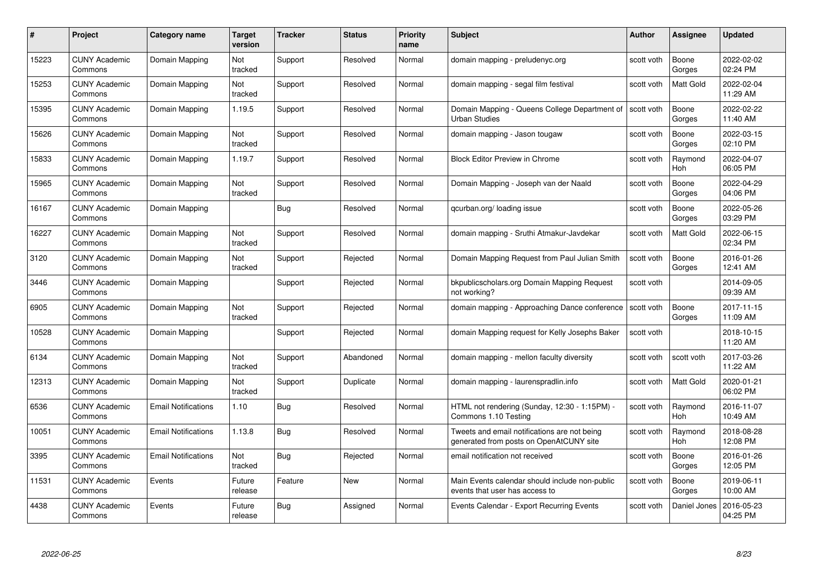| #     | Project                         | <b>Category name</b>       | Target<br>version | <b>Tracker</b> | <b>Status</b> | <b>Priority</b><br>name | <b>Subject</b>                                                                          | <b>Author</b> | <b>Assignee</b>       | <b>Updated</b>         |
|-------|---------------------------------|----------------------------|-------------------|----------------|---------------|-------------------------|-----------------------------------------------------------------------------------------|---------------|-----------------------|------------------------|
| 15223 | <b>CUNY Academic</b><br>Commons | Domain Mapping             | Not<br>tracked    | Support        | Resolved      | Normal                  | domain mapping - preludenyc.org                                                         | scott voth    | Boone<br>Gorges       | 2022-02-02<br>02:24 PM |
| 15253 | <b>CUNY Academic</b><br>Commons | Domain Mapping             | Not<br>tracked    | Support        | Resolved      | Normal                  | domain mapping - segal film festival                                                    | scott voth    | <b>Matt Gold</b>      | 2022-02-04<br>11:29 AM |
| 15395 | <b>CUNY Academic</b><br>Commons | Domain Mapping             | 1.19.5            | Support        | Resolved      | Normal                  | Domain Mapping - Queens College Department of<br><b>Urban Studies</b>                   | scott voth    | Boone<br>Gorges       | 2022-02-22<br>11:40 AM |
| 15626 | <b>CUNY Academic</b><br>Commons | Domain Mapping             | Not<br>tracked    | Support        | Resolved      | Normal                  | domain mapping - Jason tougaw                                                           | scott voth    | Boone<br>Gorges       | 2022-03-15<br>02:10 PM |
| 15833 | <b>CUNY Academic</b><br>Commons | Domain Mapping             | 1.19.7            | Support        | Resolved      | Normal                  | <b>Block Editor Preview in Chrome</b>                                                   | scott voth    | Raymond<br>Hoh        | 2022-04-07<br>06:05 PM |
| 15965 | <b>CUNY Academic</b><br>Commons | Domain Mapping             | Not<br>tracked    | Support        | Resolved      | Normal                  | Domain Mapping - Joseph van der Naald                                                   | scott voth    | Boone<br>Gorges       | 2022-04-29<br>04:06 PM |
| 16167 | <b>CUNY Academic</b><br>Commons | Domain Mapping             |                   | Bug            | Resolved      | Normal                  | gcurban.org/loading issue                                                               | scott voth    | Boone<br>Gorges       | 2022-05-26<br>03:29 PM |
| 16227 | <b>CUNY Academic</b><br>Commons | Domain Mapping             | Not<br>tracked    | Support        | Resolved      | Normal                  | domain mapping - Sruthi Atmakur-Javdekar                                                | scott voth    | Matt Gold             | 2022-06-15<br>02:34 PM |
| 3120  | <b>CUNY Academic</b><br>Commons | Domain Mapping             | Not<br>tracked    | Support        | Rejected      | Normal                  | Domain Mapping Request from Paul Julian Smith                                           | scott voth    | Boone<br>Gorges       | 2016-01-26<br>12:41 AM |
| 3446  | <b>CUNY Academic</b><br>Commons | Domain Mapping             |                   | Support        | Rejected      | Normal                  | bkpublicscholars.org Domain Mapping Request<br>not working?                             | scott voth    |                       | 2014-09-05<br>09:39 AM |
| 6905  | CUNY Academic<br>Commons        | Domain Mapping             | Not<br>tracked    | Support        | Rejected      | Normal                  | domain mapping - Approaching Dance conference                                           | scott voth    | Boone<br>Gorges       | 2017-11-15<br>11:09 AM |
| 10528 | <b>CUNY Academic</b><br>Commons | Domain Mapping             |                   | Support        | Rejected      | Normal                  | domain Mapping request for Kelly Josephs Baker                                          | scott voth    |                       | 2018-10-15<br>11:20 AM |
| 6134  | <b>CUNY Academic</b><br>Commons | Domain Mapping             | Not<br>tracked    | Support        | Abandoned     | Normal                  | domain mapping - mellon faculty diversity                                               | scott voth    | scott voth            | 2017-03-26<br>11:22 AM |
| 12313 | <b>CUNY Academic</b><br>Commons | Domain Mapping             | Not<br>tracked    | Support        | Duplicate     | Normal                  | domain mapping - laurenspradlin.info                                                    | scott voth    | Matt Gold             | 2020-01-21<br>06:02 PM |
| 6536  | <b>CUNY Academic</b><br>Commons | <b>Email Notifications</b> | 1.10              | Bug            | Resolved      | Normal                  | HTML not rendering (Sunday, 12:30 - 1:15PM) -<br>Commons 1.10 Testing                   | scott voth    | Raymond<br>Hoh        | 2016-11-07<br>10:49 AM |
| 10051 | <b>CUNY Academic</b><br>Commons | <b>Email Notifications</b> | 1.13.8            | Bug            | Resolved      | Normal                  | Tweets and email notifications are not being<br>generated from posts on OpenAtCUNY site | scott voth    | Raymond<br><b>Hoh</b> | 2018-08-28<br>12:08 PM |
| 3395  | <b>CUNY Academic</b><br>Commons | <b>Email Notifications</b> | Not<br>tracked    | <b>Bug</b>     | Rejected      | Normal                  | email notification not received                                                         | scott voth    | Boone<br>Gorges       | 2016-01-26<br>12:05 PM |
| 11531 | <b>CUNY Academic</b><br>Commons | Events                     | Future<br>release | Feature        | <b>New</b>    | Normal                  | Main Events calendar should include non-public<br>events that user has access to        | scott voth    | Boone<br>Gorges       | 2019-06-11<br>10:00 AM |
| 4438  | CUNY Academic<br>Commons        | Events                     | Future<br>release | Bug            | Assigned      | Normal                  | Events Calendar - Export Recurring Events                                               | scott voth    | Daniel Jones          | 2016-05-23<br>04:25 PM |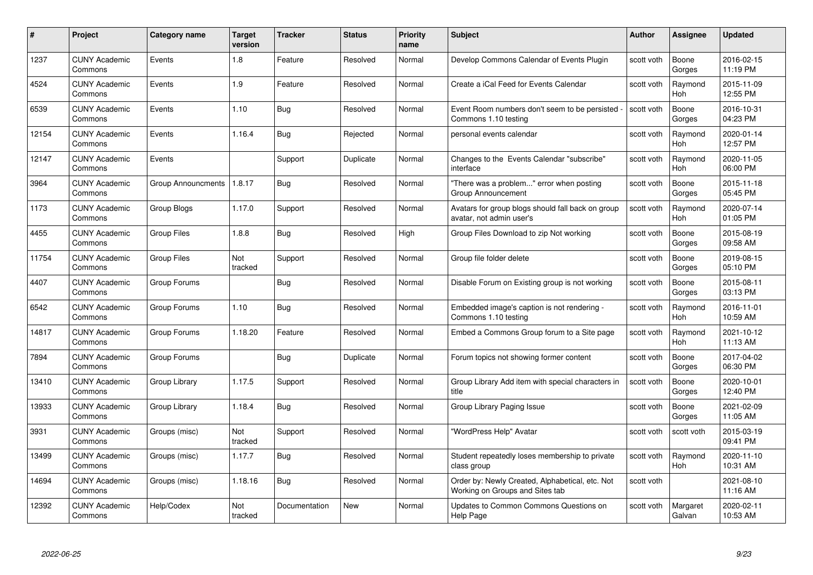| #     | Project                         | Category name      | <b>Target</b><br>version | <b>Tracker</b> | <b>Status</b> | <b>Priority</b><br>name | <b>Subject</b>                                                                     | <b>Author</b> | Assignee              | <b>Updated</b>         |
|-------|---------------------------------|--------------------|--------------------------|----------------|---------------|-------------------------|------------------------------------------------------------------------------------|---------------|-----------------------|------------------------|
| 1237  | <b>CUNY Academic</b><br>Commons | Events             | 1.8                      | Feature        | Resolved      | Normal                  | Develop Commons Calendar of Events Plugin                                          | scott voth    | Boone<br>Gorges       | 2016-02-15<br>11:19 PM |
| 4524  | <b>CUNY Academic</b><br>Commons | Events             | 1.9                      | Feature        | Resolved      | Normal                  | Create a iCal Feed for Events Calendar                                             | scott voth    | Raymond<br><b>Hoh</b> | 2015-11-09<br>12:55 PM |
| 6539  | <b>CUNY Academic</b><br>Commons | Events             | 1.10                     | Bug            | Resolved      | Normal                  | Event Room numbers don't seem to be persisted<br>Commons 1.10 testing              | scott voth    | Boone<br>Gorges       | 2016-10-31<br>04:23 PM |
| 12154 | <b>CUNY Academic</b><br>Commons | Events             | 1.16.4                   | Bug            | Rejected      | Normal                  | personal events calendar                                                           | scott voth    | Raymond<br>Hoh        | 2020-01-14<br>12:57 PM |
| 12147 | <b>CUNY Academic</b><br>Commons | Events             |                          | Support        | Duplicate     | Normal                  | Changes to the Events Calendar "subscribe"<br>interface                            | scott voth    | Raymond<br>Hoh        | 2020-11-05<br>06:00 PM |
| 3964  | <b>CUNY Academic</b><br>Commons | Group Announcments | 1.8.17                   | Bug            | Resolved      | Normal                  | "There was a problem" error when posting<br>Group Announcement                     | scott voth    | Boone<br>Gorges       | 2015-11-18<br>05:45 PM |
| 1173  | <b>CUNY Academic</b><br>Commons | Group Blogs        | 1.17.0                   | Support        | Resolved      | Normal                  | Avatars for group blogs should fall back on group<br>avatar, not admin user's      | scott voth    | Raymond<br>Hoh        | 2020-07-14<br>01:05 PM |
| 4455  | <b>CUNY Academic</b><br>Commons | Group Files        | 1.8.8                    | <b>Bug</b>     | Resolved      | High                    | Group Files Download to zip Not working                                            | scott voth    | Boone<br>Gorges       | 2015-08-19<br>09:58 AM |
| 11754 | <b>CUNY Academic</b><br>Commons | <b>Group Files</b> | Not<br>tracked           | Support        | Resolved      | Normal                  | Group file folder delete                                                           | scott voth    | Boone<br>Gorges       | 2019-08-15<br>05:10 PM |
| 4407  | <b>CUNY Academic</b><br>Commons | Group Forums       |                          | Bug            | Resolved      | Normal                  | Disable Forum on Existing group is not working                                     | scott voth    | Boone<br>Gorges       | 2015-08-11<br>03:13 PM |
| 6542  | <b>CUNY Academic</b><br>Commons | Group Forums       | 1.10                     | <b>Bug</b>     | Resolved      | Normal                  | Embedded image's caption is not rendering -<br>Commons 1.10 testing                | scott voth    | Raymond<br>Hoh        | 2016-11-01<br>10:59 AM |
| 14817 | <b>CUNY Academic</b><br>Commons | Group Forums       | 1.18.20                  | Feature        | Resolved      | Normal                  | Embed a Commons Group forum to a Site page                                         | scott voth    | Raymond<br>Hoh        | 2021-10-12<br>11:13 AM |
| 7894  | <b>CUNY Academic</b><br>Commons | Group Forums       |                          | Bug            | Duplicate     | Normal                  | Forum topics not showing former content                                            | scott voth    | Boone<br>Gorges       | 2017-04-02<br>06:30 PM |
| 13410 | <b>CUNY Academic</b><br>Commons | Group Library      | 1.17.5                   | Support        | Resolved      | Normal                  | Group Library Add item with special characters in<br>title                         | scott voth    | Boone<br>Gorges       | 2020-10-01<br>12:40 PM |
| 13933 | <b>CUNY Academic</b><br>Commons | Group Library      | 1.18.4                   | Bug            | Resolved      | Normal                  | Group Library Paging Issue                                                         | scott voth    | Boone<br>Gorges       | 2021-02-09<br>11:05 AM |
| 3931  | <b>CUNY Academic</b><br>Commons | Groups (misc)      | Not<br>tracked           | Support        | Resolved      | Normal                  | "WordPress Help" Avatar                                                            | scott voth    | scott voth            | 2015-03-19<br>09:41 PM |
| 13499 | <b>CUNY Academic</b><br>Commons | Groups (misc)      | 1.17.7                   | <b>Bug</b>     | Resolved      | Normal                  | Student repeatedly loses membership to private<br>class group                      | scott voth    | Raymond<br><b>Hoh</b> | 2020-11-10<br>10:31 AM |
| 14694 | <b>CUNY Academic</b><br>Commons | Groups (misc)      | 1.18.16                  | Bug            | Resolved      | Normal                  | Order by: Newly Created, Alphabetical, etc. Not<br>Working on Groups and Sites tab | scott voth    |                       | 2021-08-10<br>11:16 AM |
| 12392 | <b>CUNY Academic</b><br>Commons | Help/Codex         | Not<br>tracked           | Documentation  | <b>New</b>    | Normal                  | Updates to Common Commons Questions on<br>Help Page                                | scott voth    | Margaret<br>Galvan    | 2020-02-11<br>10:53 AM |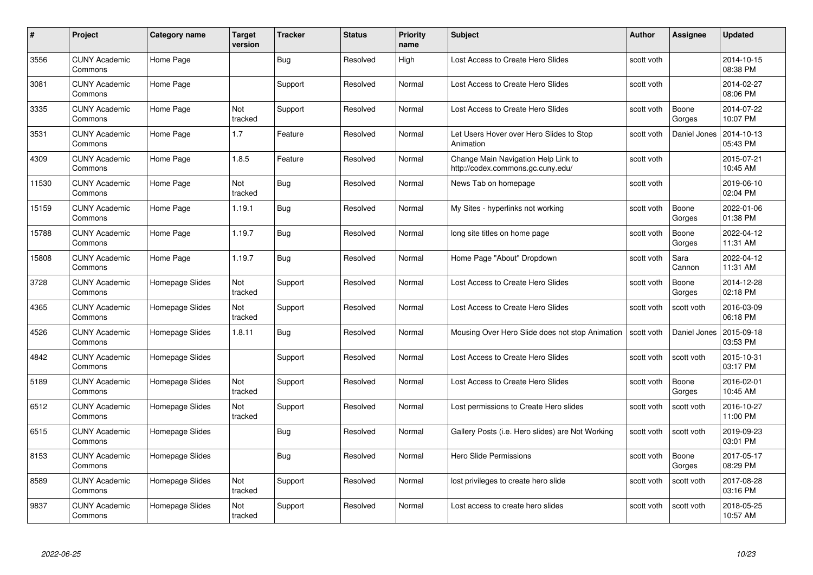| #     | Project                         | <b>Category name</b> | Target<br>version | <b>Tracker</b> | <b>Status</b> | <b>Priority</b><br>name | <b>Subject</b>                                                           | <b>Author</b> | Assignee        | <b>Updated</b>         |
|-------|---------------------------------|----------------------|-------------------|----------------|---------------|-------------------------|--------------------------------------------------------------------------|---------------|-----------------|------------------------|
| 3556  | <b>CUNY Academic</b><br>Commons | Home Page            |                   | Bug            | Resolved      | High                    | Lost Access to Create Hero Slides                                        | scott voth    |                 | 2014-10-15<br>08:38 PM |
| 3081  | <b>CUNY Academic</b><br>Commons | Home Page            |                   | Support        | Resolved      | Normal                  | Lost Access to Create Hero Slides                                        | scott voth    |                 | 2014-02-27<br>08:06 PM |
| 3335  | <b>CUNY Academic</b><br>Commons | Home Page            | Not<br>tracked    | Support        | Resolved      | Normal                  | Lost Access to Create Hero Slides                                        | scott voth    | Boone<br>Gorges | 2014-07-22<br>10:07 PM |
| 3531  | <b>CUNY Academic</b><br>Commons | Home Page            | 1.7               | Feature        | Resolved      | Normal                  | Let Users Hover over Hero Slides to Stop<br>Animation                    | scott voth    | Daniel Jones    | 2014-10-13<br>05:43 PM |
| 4309  | CUNY Academic<br>Commons        | Home Page            | 1.8.5             | Feature        | Resolved      | Normal                  | Change Main Navigation Help Link to<br>http://codex.commons.gc.cuny.edu/ | scott voth    |                 | 2015-07-21<br>10:45 AM |
| 11530 | <b>CUNY Academic</b><br>Commons | Home Page            | Not<br>tracked    | Bug            | Resolved      | Normal                  | News Tab on homepage                                                     | scott voth    |                 | 2019-06-10<br>02:04 PM |
| 15159 | <b>CUNY Academic</b><br>Commons | Home Page            | 1.19.1            | Bug            | Resolved      | Normal                  | My Sites - hyperlinks not working                                        | scott voth    | Boone<br>Gorges | 2022-01-06<br>01:38 PM |
| 15788 | <b>CUNY Academic</b><br>Commons | Home Page            | 1.19.7            | Bug            | Resolved      | Normal                  | long site titles on home page                                            | scott voth    | Boone<br>Gorges | 2022-04-12<br>11:31 AM |
| 15808 | <b>CUNY Academic</b><br>Commons | Home Page            | 1.19.7            | <b>Bug</b>     | Resolved      | Normal                  | Home Page "About" Dropdown                                               | scott voth    | Sara<br>Cannon  | 2022-04-12<br>11:31 AM |
| 3728  | <b>CUNY Academic</b><br>Commons | Homepage Slides      | Not<br>tracked    | Support        | Resolved      | Normal                  | Lost Access to Create Hero Slides                                        | scott voth    | Boone<br>Gorges | 2014-12-28<br>02:18 PM |
| 4365  | CUNY Academic<br>Commons        | Homepage Slides      | Not<br>tracked    | Support        | Resolved      | Normal                  | Lost Access to Create Hero Slides                                        | scott voth    | scott voth      | 2016-03-09<br>06:18 PM |
| 4526  | <b>CUNY Academic</b><br>Commons | Homepage Slides      | 1.8.11            | <b>Bug</b>     | Resolved      | Normal                  | Mousing Over Hero Slide does not stop Animation                          | scott voth    | Daniel Jones    | 2015-09-18<br>03:53 PM |
| 4842  | <b>CUNY Academic</b><br>Commons | Homepage Slides      |                   | Support        | Resolved      | Normal                  | Lost Access to Create Hero Slides                                        | scott voth    | scott voth      | 2015-10-31<br>03:17 PM |
| 5189  | <b>CUNY Academic</b><br>Commons | Homepage Slides      | Not<br>tracked    | Support        | Resolved      | Normal                  | Lost Access to Create Hero Slides                                        | scott voth    | Boone<br>Gorges | 2016-02-01<br>10:45 AM |
| 6512  | <b>CUNY Academic</b><br>Commons | Homepage Slides      | Not<br>tracked    | Support        | Resolved      | Normal                  | Lost permissions to Create Hero slides                                   | scott voth    | scott voth      | 2016-10-27<br>11:00 PM |
| 6515  | <b>CUNY Academic</b><br>Commons | Homepage Slides      |                   | Bug            | Resolved      | Normal                  | Gallery Posts (i.e. Hero slides) are Not Working                         | scott voth    | scott voth      | 2019-09-23<br>03:01 PM |
| 8153  | <b>CUNY Academic</b><br>Commons | Homepage Slides      |                   | <b>Bug</b>     | Resolved      | Normal                  | <b>Hero Slide Permissions</b>                                            | scott voth    | Boone<br>Gorges | 2017-05-17<br>08:29 PM |
| 8589  | <b>CUNY Academic</b><br>Commons | Homepage Slides      | Not<br>tracked    | Support        | Resolved      | Normal                  | lost privileges to create hero slide                                     | scott voth    | scott voth      | 2017-08-28<br>03:16 PM |
| 9837  | CUNY Academic<br>Commons        | Homepage Slides      | Not<br>tracked    | Support        | Resolved      | Normal                  | Lost access to create hero slides                                        | scott voth    | scott voth      | 2018-05-25<br>10:57 AM |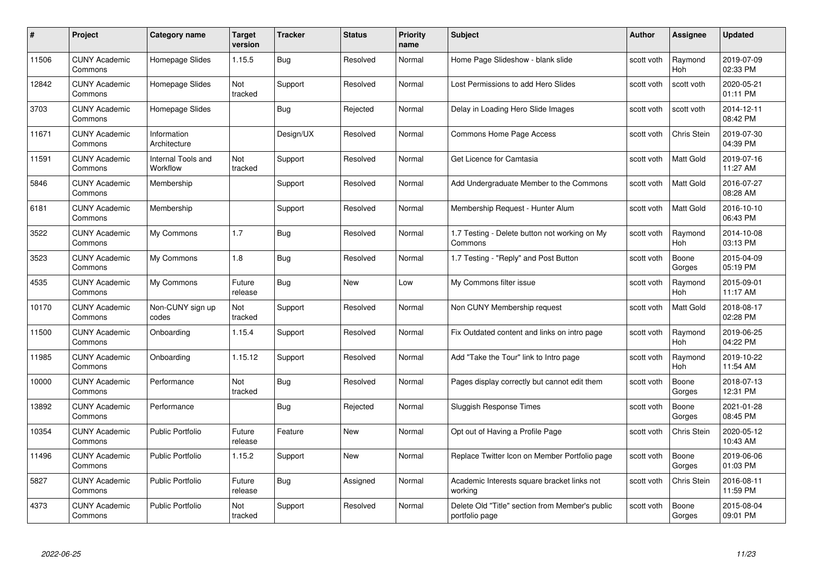| #     | Project                         | Category name                  | Target<br>version | <b>Tracker</b> | <b>Status</b> | <b>Priority</b><br>name | <b>Subject</b>                                                    | Author     | <b>Assignee</b>       | <b>Updated</b>         |
|-------|---------------------------------|--------------------------------|-------------------|----------------|---------------|-------------------------|-------------------------------------------------------------------|------------|-----------------------|------------------------|
| 11506 | <b>CUNY Academic</b><br>Commons | Homepage Slides                | 1.15.5            | Bug            | Resolved      | Normal                  | Home Page Slideshow - blank slide                                 | scott voth | Raymond<br><b>Hoh</b> | 2019-07-09<br>02:33 PM |
| 12842 | <b>CUNY Academic</b><br>Commons | Homepage Slides                | Not<br>tracked    | Support        | Resolved      | Normal                  | Lost Permissions to add Hero Slides                               | scott voth | scott voth            | 2020-05-21<br>01:11 PM |
| 3703  | <b>CUNY Academic</b><br>Commons | Homepage Slides                |                   | <b>Bug</b>     | Rejected      | Normal                  | Delay in Loading Hero Slide Images                                | scott voth | scott voth            | 2014-12-11<br>08:42 PM |
| 11671 | <b>CUNY Academic</b><br>Commons | Information<br>Architecture    |                   | Design/UX      | Resolved      | Normal                  | <b>Commons Home Page Access</b>                                   | scott voth | Chris Stein           | 2019-07-30<br>04:39 PM |
| 11591 | <b>CUNY Academic</b><br>Commons | Internal Tools and<br>Workflow | Not<br>tracked    | Support        | Resolved      | Normal                  | Get Licence for Camtasia                                          | scott voth | <b>Matt Gold</b>      | 2019-07-16<br>11:27 AM |
| 5846  | <b>CUNY Academic</b><br>Commons | Membership                     |                   | Support        | Resolved      | Normal                  | Add Undergraduate Member to the Commons                           | scott voth | <b>Matt Gold</b>      | 2016-07-27<br>08:28 AM |
| 6181  | <b>CUNY Academic</b><br>Commons | Membership                     |                   | Support        | Resolved      | Normal                  | Membership Request - Hunter Alum                                  | scott voth | Matt Gold             | 2016-10-10<br>06:43 PM |
| 3522  | <b>CUNY Academic</b><br>Commons | My Commons                     | 1.7               | Bug            | Resolved      | Normal                  | 1.7 Testing - Delete button not working on My<br>Commons          | scott voth | Raymond<br><b>Hoh</b> | 2014-10-08<br>03:13 PM |
| 3523  | <b>CUNY Academic</b><br>Commons | My Commons                     | 1.8               | <b>Bug</b>     | Resolved      | Normal                  | 1.7 Testing - "Reply" and Post Button                             | scott voth | Boone<br>Gorges       | 2015-04-09<br>05:19 PM |
| 4535  | <b>CUNY Academic</b><br>Commons | My Commons                     | Future<br>release | Bug            | New           | Low                     | My Commons filter issue                                           | scott voth | Raymond<br>Hoh        | 2015-09-01<br>11:17 AM |
| 10170 | <b>CUNY Academic</b><br>Commons | Non-CUNY sign up<br>codes      | Not<br>tracked    | Support        | Resolved      | Normal                  | Non CUNY Membership request                                       | scott voth | Matt Gold             | 2018-08-17<br>02:28 PM |
| 11500 | <b>CUNY Academic</b><br>Commons | Onboarding                     | 1.15.4            | Support        | Resolved      | Normal                  | Fix Outdated content and links on intro page                      | scott voth | Raymond<br>Hoh        | 2019-06-25<br>04:22 PM |
| 11985 | <b>CUNY Academic</b><br>Commons | Onboarding                     | 1.15.12           | Support        | Resolved      | Normal                  | Add "Take the Tour" link to Intro page                            | scott voth | Raymond<br>Hoh        | 2019-10-22<br>11:54 AM |
| 10000 | <b>CUNY Academic</b><br>Commons | Performance                    | Not<br>tracked    | Bug            | Resolved      | Normal                  | Pages display correctly but cannot edit them                      | scott voth | Boone<br>Gorges       | 2018-07-13<br>12:31 PM |
| 13892 | <b>CUNY Academic</b><br>Commons | Performance                    |                   | Bug            | Rejected      | Normal                  | Sluggish Response Times                                           | scott voth | Boone<br>Gorges       | 2021-01-28<br>08:45 PM |
| 10354 | <b>CUNY Academic</b><br>Commons | <b>Public Portfolio</b>        | Future<br>release | Feature        | <b>New</b>    | Normal                  | Opt out of Having a Profile Page                                  | scott voth | Chris Stein           | 2020-05-12<br>10:43 AM |
| 11496 | <b>CUNY Academic</b><br>Commons | <b>Public Portfolio</b>        | 1.15.2            | Support        | New           | Normal                  | Replace Twitter Icon on Member Portfolio page                     | scott voth | Boone<br>Gorges       | 2019-06-06<br>01:03 PM |
| 5827  | <b>CUNY Academic</b><br>Commons | <b>Public Portfolio</b>        | Future<br>release | Bug            | Assigned      | Normal                  | Academic Interests square bracket links not<br>working            | scott voth | <b>Chris Stein</b>    | 2016-08-11<br>11:59 PM |
| 4373  | CUNY Academic<br>Commons        | <b>Public Portfolio</b>        | Not<br>tracked    | Support        | Resolved      | Normal                  | Delete Old "Title" section from Member's public<br>portfolio page | scott voth | Boone<br>Gorges       | 2015-08-04<br>09:01 PM |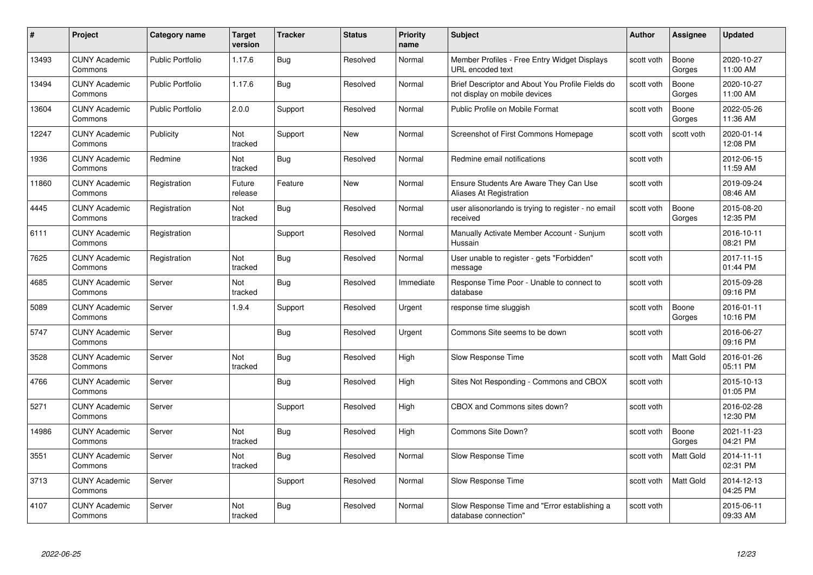| #     | Project                         | <b>Category name</b>    | Target<br>version     | <b>Tracker</b> | <b>Status</b> | <b>Priority</b><br>name | <b>Subject</b>                                                                    | <b>Author</b> | <b>Assignee</b>  | <b>Updated</b>         |
|-------|---------------------------------|-------------------------|-----------------------|----------------|---------------|-------------------------|-----------------------------------------------------------------------------------|---------------|------------------|------------------------|
| 13493 | <b>CUNY Academic</b><br>Commons | <b>Public Portfolio</b> | 1.17.6                | Bug            | Resolved      | Normal                  | Member Profiles - Free Entry Widget Displays<br>URL encoded text                  | scott voth    | Boone<br>Gorges  | 2020-10-27<br>11:00 AM |
| 13494 | <b>CUNY Academic</b><br>Commons | <b>Public Portfolio</b> | 1.17.6                | Bug            | Resolved      | Normal                  | Brief Descriptor and About You Profile Fields do<br>not display on mobile devices | scott voth    | Boone<br>Gorges  | 2020-10-27<br>11:00 AM |
| 13604 | <b>CUNY Academic</b><br>Commons | <b>Public Portfolio</b> | 2.0.0                 | Support        | Resolved      | Normal                  | Public Profile on Mobile Format                                                   | scott voth    | Boone<br>Gorges  | 2022-05-26<br>11:36 AM |
| 12247 | <b>CUNY Academic</b><br>Commons | Publicity               | Not<br>tracked        | Support        | New           | Normal                  | Screenshot of First Commons Homepage                                              | scott voth    | scott voth       | 2020-01-14<br>12:08 PM |
| 1936  | <b>CUNY Academic</b><br>Commons | Redmine                 | <b>Not</b><br>tracked | <b>Bug</b>     | Resolved      | Normal                  | Redmine email notifications                                                       | scott voth    |                  | 2012-06-15<br>11:59 AM |
| 11860 | <b>CUNY Academic</b><br>Commons | Registration            | Future<br>release     | Feature        | New           | Normal                  | Ensure Students Are Aware They Can Use<br><b>Aliases At Registration</b>          | scott voth    |                  | 2019-09-24<br>08:46 AM |
| 4445  | <b>CUNY Academic</b><br>Commons | Registration            | Not<br>tracked        | Bug            | Resolved      | Normal                  | user alisonorlando is trying to register - no email<br>received                   | scott voth    | Boone<br>Gorges  | 2015-08-20<br>12:35 PM |
| 6111  | <b>CUNY Academic</b><br>Commons | Registration            |                       | Support        | Resolved      | Normal                  | Manually Activate Member Account - Sunjum<br>Hussain                              | scott voth    |                  | 2016-10-11<br>08:21 PM |
| 7625  | <b>CUNY Academic</b><br>Commons | Registration            | Not<br>tracked        | <b>Bug</b>     | Resolved      | Normal                  | User unable to register - gets "Forbidden"<br>message                             | scott voth    |                  | 2017-11-15<br>01:44 PM |
| 4685  | <b>CUNY Academic</b><br>Commons | Server                  | Not<br>tracked        | <b>Bug</b>     | Resolved      | Immediate               | Response Time Poor - Unable to connect to<br>database                             | scott voth    |                  | 2015-09-28<br>09:16 PM |
| 5089  | <b>CUNY Academic</b><br>Commons | Server                  | 1.9.4                 | Support        | Resolved      | Urgent                  | response time sluggish                                                            | scott voth    | Boone<br>Gorges  | 2016-01-11<br>10:16 PM |
| 5747  | <b>CUNY Academic</b><br>Commons | Server                  |                       | Bug            | Resolved      | Urgent                  | Commons Site seems to be down                                                     | scott voth    |                  | 2016-06-27<br>09:16 PM |
| 3528  | <b>CUNY Academic</b><br>Commons | Server                  | Not<br>tracked        | Bug            | Resolved      | High                    | Slow Response Time                                                                | scott voth    | <b>Matt Gold</b> | 2016-01-26<br>05:11 PM |
| 4766  | <b>CUNY Academic</b><br>Commons | Server                  |                       | Bug            | Resolved      | High                    | Sites Not Responding - Commons and CBOX                                           | scott voth    |                  | 2015-10-13<br>01:05 PM |
| 5271  | <b>CUNY Academic</b><br>Commons | Server                  |                       | Support        | Resolved      | High                    | CBOX and Commons sites down?                                                      | scott voth    |                  | 2016-02-28<br>12:30 PM |
| 14986 | <b>CUNY Academic</b><br>Commons | Server                  | Not<br>tracked        | Bug            | Resolved      | High                    | Commons Site Down?                                                                | scott voth    | Boone<br>Gorges  | 2021-11-23<br>04:21 PM |
| 3551  | <b>CUNY Academic</b><br>Commons | Server                  | Not<br>tracked        | <b>Bug</b>     | Resolved      | Normal                  | Slow Response Time                                                                | scott voth    | <b>Matt Gold</b> | 2014-11-11<br>02:31 PM |
| 3713  | <b>CUNY Academic</b><br>Commons | Server                  |                       | Support        | Resolved      | Normal                  | Slow Response Time                                                                | scott voth    | Matt Gold        | 2014-12-13<br>04:25 PM |
| 4107  | <b>CUNY Academic</b><br>Commons | Server                  | Not<br>tracked        | <b>Bug</b>     | Resolved      | Normal                  | Slow Response Time and "Error establishing a<br>database connection"              | scott voth    |                  | 2015-06-11<br>09:33 AM |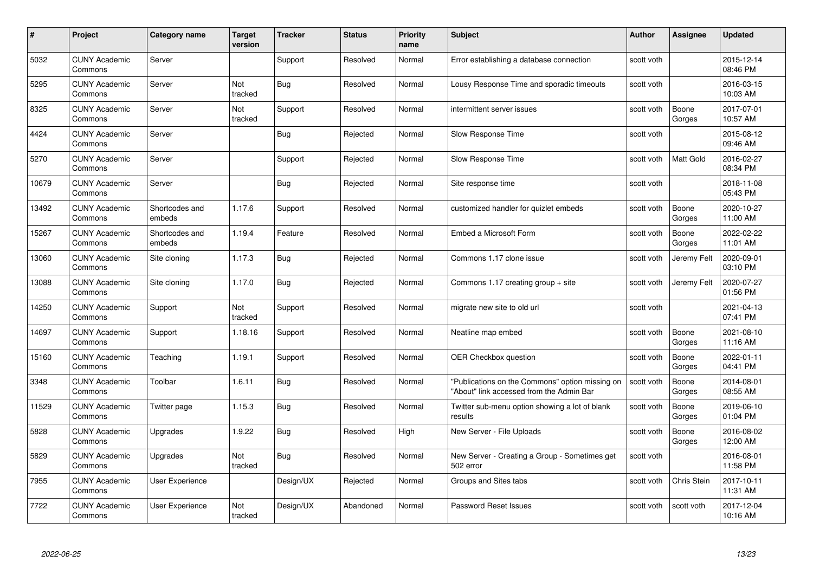| #     | Project                         | <b>Category name</b>     | Target<br>version     | <b>Tracker</b> | <b>Status</b> | <b>Priority</b><br>name | <b>Subject</b>                                                                              | <b>Author</b> | <b>Assignee</b>    | <b>Updated</b>         |
|-------|---------------------------------|--------------------------|-----------------------|----------------|---------------|-------------------------|---------------------------------------------------------------------------------------------|---------------|--------------------|------------------------|
| 5032  | <b>CUNY Academic</b><br>Commons | Server                   |                       | Support        | Resolved      | Normal                  | Error establishing a database connection                                                    | scott voth    |                    | 2015-12-14<br>08:46 PM |
| 5295  | <b>CUNY Academic</b><br>Commons | Server                   | <b>Not</b><br>tracked | Bug            | Resolved      | Normal                  | Lousy Response Time and sporadic timeouts                                                   | scott voth    |                    | 2016-03-15<br>10:03 AM |
| 8325  | <b>CUNY Academic</b><br>Commons | Server                   | Not<br>tracked        | Support        | Resolved      | Normal                  | intermittent server issues                                                                  | scott voth    | Boone<br>Gorges    | 2017-07-01<br>10:57 AM |
| 4424  | <b>CUNY Academic</b><br>Commons | Server                   |                       | Bug            | Rejected      | Normal                  | Slow Response Time                                                                          | scott voth    |                    | 2015-08-12<br>09:46 AM |
| 5270  | <b>CUNY Academic</b><br>Commons | Server                   |                       | Support        | Rejected      | Normal                  | Slow Response Time                                                                          | scott voth    | <b>Matt Gold</b>   | 2016-02-27<br>08:34 PM |
| 10679 | <b>CUNY Academic</b><br>Commons | Server                   |                       | Bug            | Rejected      | Normal                  | Site response time                                                                          | scott voth    |                    | 2018-11-08<br>05:43 PM |
| 13492 | <b>CUNY Academic</b><br>Commons | Shortcodes and<br>embeds | 1.17.6                | Support        | Resolved      | Normal                  | customized handler for quizlet embeds                                                       | scott voth    | Boone<br>Gorges    | 2020-10-27<br>11:00 AM |
| 15267 | <b>CUNY Academic</b><br>Commons | Shortcodes and<br>embeds | 1.19.4                | Feature        | Resolved      | Normal                  | Embed a Microsoft Form                                                                      | scott voth    | Boone<br>Gorges    | 2022-02-22<br>11:01 AM |
| 13060 | <b>CUNY Academic</b><br>Commons | Site cloning             | 1.17.3                | <b>Bug</b>     | Rejected      | Normal                  | Commons 1.17 clone issue                                                                    | scott voth    | Jeremy Felt        | 2020-09-01<br>03:10 PM |
| 13088 | <b>CUNY Academic</b><br>Commons | Site cloning             | 1.17.0                | Bug            | Rejected      | Normal                  | Commons 1.17 creating group $+$ site                                                        | scott voth    | Jeremy Felt        | 2020-07-27<br>01:56 PM |
| 14250 | CUNY Academic<br>Commons        | Support                  | Not<br>tracked        | Support        | Resolved      | Normal                  | migrate new site to old url                                                                 | scott voth    |                    | 2021-04-13<br>07:41 PM |
| 14697 | <b>CUNY Academic</b><br>Commons | Support                  | 1.18.16               | Support        | Resolved      | Normal                  | Neatline map embed                                                                          | scott voth    | Boone<br>Gorges    | 2021-08-10<br>11:16 AM |
| 15160 | <b>CUNY Academic</b><br>Commons | Teaching                 | 1.19.1                | Support        | Resolved      | Normal                  | <b>OER Checkbox question</b>                                                                | scott voth    | Boone<br>Gorges    | 2022-01-11<br>04:41 PM |
| 3348  | <b>CUNY Academic</b><br>Commons | Toolbar                  | 1.6.11                | <b>Bug</b>     | Resolved      | Normal                  | "Publications on the Commons" option missing on<br>"About" link accessed from the Admin Bar | scott voth    | Boone<br>Gorges    | 2014-08-01<br>08:55 AM |
| 11529 | <b>CUNY Academic</b><br>Commons | Twitter page             | 1.15.3                | Bug            | Resolved      | Normal                  | Twitter sub-menu option showing a lot of blank<br>results                                   | scott voth    | Boone<br>Gorges    | 2019-06-10<br>01:04 PM |
| 5828  | <b>CUNY Academic</b><br>Commons | Upgrades                 | 1.9.22                | Bug            | Resolved      | High                    | New Server - File Uploads                                                                   | scott voth    | Boone<br>Gorges    | 2016-08-02<br>12:00 AM |
| 5829  | <b>CUNY Academic</b><br>Commons | Upgrades                 | Not<br>tracked        | Bug            | Resolved      | Normal                  | New Server - Creating a Group - Sometimes get<br>502 error                                  | scott voth    |                    | 2016-08-01<br>11:58 PM |
| 7955  | <b>CUNY Academic</b><br>Commons | User Experience          |                       | Design/UX      | Rejected      | Normal                  | Groups and Sites tabs                                                                       | scott voth    | <b>Chris Stein</b> | 2017-10-11<br>11:31 AM |
| 7722  | CUNY Academic<br>Commons        | User Experience          | Not<br>tracked        | Design/UX      | Abandoned     | Normal                  | Password Reset Issues                                                                       | scott voth    | scott voth         | 2017-12-04<br>10:16 AM |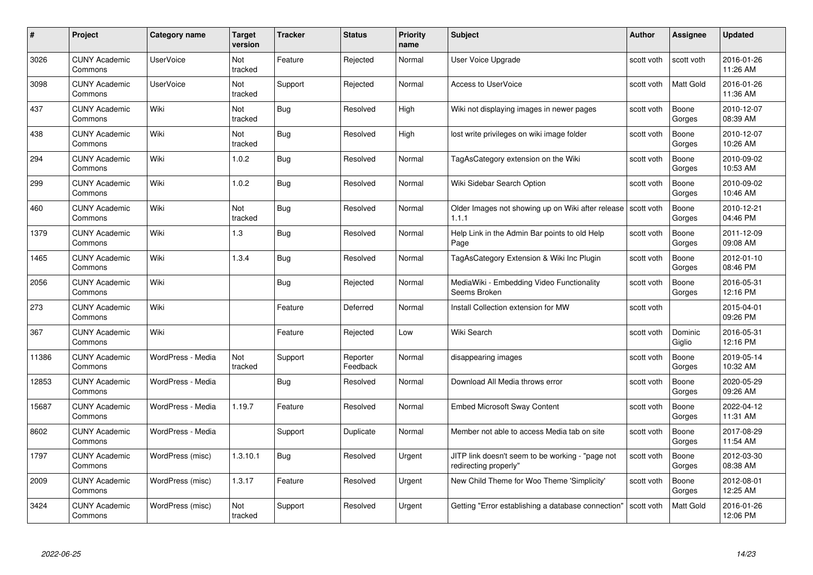| #     | Project                         | Category name     | Target<br>version | <b>Tracker</b> | <b>Status</b>        | <b>Priority</b><br>name | <b>Subject</b>                                                            | <b>Author</b> | <b>Assignee</b>   | <b>Updated</b>         |
|-------|---------------------------------|-------------------|-------------------|----------------|----------------------|-------------------------|---------------------------------------------------------------------------|---------------|-------------------|------------------------|
| 3026  | <b>CUNY Academic</b><br>Commons | <b>UserVoice</b>  | Not<br>tracked    | Feature        | Rejected             | Normal                  | User Voice Upgrade                                                        | scott voth    | scott voth        | 2016-01-26<br>11:26 AM |
| 3098  | <b>CUNY Academic</b><br>Commons | <b>UserVoice</b>  | Not<br>tracked    | Support        | Rejected             | Normal                  | Access to UserVoice                                                       | scott voth    | Matt Gold         | 2016-01-26<br>11:36 AM |
| 437   | <b>CUNY Academic</b><br>Commons | Wiki              | Not<br>tracked    | <b>Bug</b>     | Resolved             | High                    | Wiki not displaying images in newer pages                                 | scott voth    | Boone<br>Gorges   | 2010-12-07<br>08:39 AM |
| 438   | <b>CUNY Academic</b><br>Commons | Wiki              | Not<br>tracked    | <b>Bug</b>     | Resolved             | High                    | lost write privileges on wiki image folder                                | scott voth    | Boone<br>Gorges   | 2010-12-07<br>10:26 AM |
| 294   | <b>CUNY Academic</b><br>Commons | Wiki              | 1.0.2             | <b>Bug</b>     | Resolved             | Normal                  | TagAsCategory extension on the Wiki                                       | scott voth    | Boone<br>Gorges   | 2010-09-02<br>10:53 AM |
| 299   | <b>CUNY Academic</b><br>Commons | Wiki              | 1.0.2             | Bug            | Resolved             | Normal                  | Wiki Sidebar Search Option                                                | scott voth    | Boone<br>Gorges   | 2010-09-02<br>10:46 AM |
| 460   | <b>CUNY Academic</b><br>Commons | Wiki              | Not<br>tracked    | <b>Bug</b>     | Resolved             | Normal                  | Older Images not showing up on Wiki after release   scott voth<br>1.1.1   |               | Boone<br>Gorges   | 2010-12-21<br>04:46 PM |
| 1379  | <b>CUNY Academic</b><br>Commons | Wiki              | 1.3               | Bug            | Resolved             | Normal                  | Help Link in the Admin Bar points to old Help<br>Page                     | scott voth    | Boone<br>Gorges   | 2011-12-09<br>09:08 AM |
| 1465  | <b>CUNY Academic</b><br>Commons | Wiki              | 1.3.4             | <b>Bug</b>     | Resolved             | Normal                  | TagAsCategory Extension & Wiki Inc Plugin                                 | scott voth    | Boone<br>Gorges   | 2012-01-10<br>08:46 PM |
| 2056  | <b>CUNY Academic</b><br>Commons | Wiki              |                   | Bug            | Rejected             | Normal                  | MediaWiki - Embedding Video Functionality<br>Seems Broken                 | scott voth    | Boone<br>Gorges   | 2016-05-31<br>12:16 PM |
| 273   | <b>CUNY Academic</b><br>Commons | Wiki              |                   | Feature        | Deferred             | Normal                  | Install Collection extension for MW                                       | scott voth    |                   | 2015-04-01<br>09:26 PM |
| 367   | <b>CUNY Academic</b><br>Commons | Wiki              |                   | Feature        | Rejected             | Low                     | Wiki Search                                                               | scott voth    | Dominic<br>Giglio | 2016-05-31<br>12:16 PM |
| 11386 | <b>CUNY Academic</b><br>Commons | WordPress - Media | Not<br>tracked    | Support        | Reporter<br>Feedback | Normal                  | disappearing images                                                       | scott voth    | Boone<br>Gorges   | 2019-05-14<br>10:32 AM |
| 12853 | <b>CUNY Academic</b><br>Commons | WordPress - Media |                   | Bug            | Resolved             | Normal                  | Download All Media throws error                                           | scott voth    | Boone<br>Gorges   | 2020-05-29<br>09:26 AM |
| 15687 | <b>CUNY Academic</b><br>Commons | WordPress - Media | 1.19.7            | Feature        | Resolved             | Normal                  | <b>Embed Microsoft Sway Content</b>                                       | scott voth    | Boone<br>Gorges   | 2022-04-12<br>11:31 AM |
| 8602  | <b>CUNY Academic</b><br>Commons | WordPress - Media |                   | Support        | Duplicate            | Normal                  | Member not able to access Media tab on site                               | scott voth    | Boone<br>Gorges   | 2017-08-29<br>11:54 AM |
| 1797  | <b>CUNY Academic</b><br>Commons | WordPress (misc)  | 1.3.10.1          | Bug            | Resolved             | Urgent                  | JITP link doesn't seem to be working - "page not<br>redirecting properly" | scott voth    | Boone<br>Gorges   | 2012-03-30<br>08:38 AM |
| 2009  | <b>CUNY Academic</b><br>Commons | WordPress (misc)  | 1.3.17            | Feature        | Resolved             | Urgent                  | New Child Theme for Woo Theme 'Simplicity'                                | scott voth    | Boone<br>Gorges   | 2012-08-01<br>12:25 AM |
| 3424  | CUNY Academic<br>Commons        | WordPress (misc)  | Not<br>tracked    | Support        | Resolved             | Urgent                  | Getting "Error establishing a database connection"                        | scott voth    | Matt Gold         | 2016-01-26<br>12:06 PM |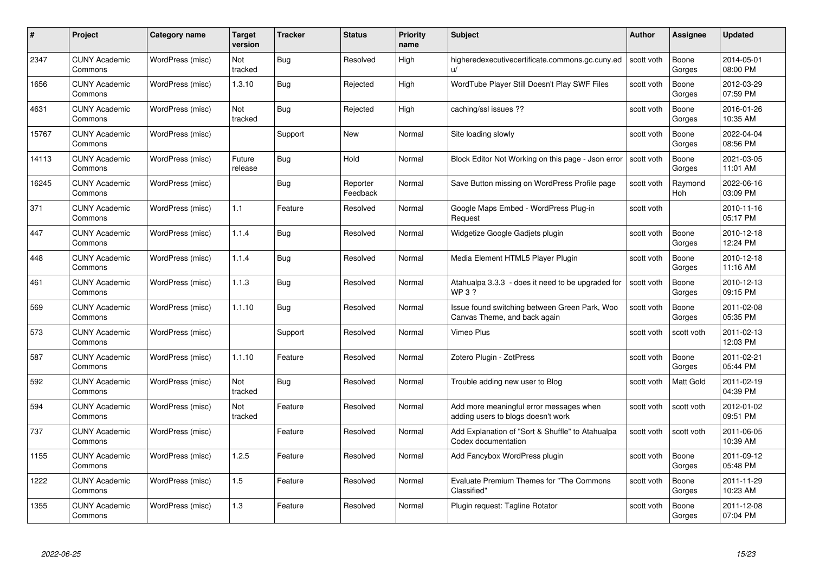| #     | Project                         | <b>Category name</b> | Target<br>version | <b>Tracker</b> | <b>Status</b>        | <b>Priority</b><br>name | <b>Subject</b>                                                                | <b>Author</b> | <b>Assignee</b> | <b>Updated</b>         |
|-------|---------------------------------|----------------------|-------------------|----------------|----------------------|-------------------------|-------------------------------------------------------------------------------|---------------|-----------------|------------------------|
| 2347  | <b>CUNY Academic</b><br>Commons | WordPress (misc)     | Not<br>tracked    | Bug            | Resolved             | High                    | higheredexecutivecertificate.commons.gc.cuny.ed<br>u/                         | scott voth    | Boone<br>Gorges | 2014-05-01<br>08:00 PM |
| 1656  | <b>CUNY Academic</b><br>Commons | WordPress (misc)     | 1.3.10            | Bug            | Rejected             | High                    | WordTube Player Still Doesn't Play SWF Files                                  | scott voth    | Boone<br>Gorges | 2012-03-29<br>07:59 PM |
| 4631  | <b>CUNY Academic</b><br>Commons | WordPress (misc)     | Not<br>tracked    | <b>Bug</b>     | Rejected             | High                    | caching/ssl issues ??                                                         | scott voth    | Boone<br>Gorges | 2016-01-26<br>10:35 AM |
| 15767 | <b>CUNY Academic</b><br>Commons | WordPress (misc)     |                   | Support        | <b>New</b>           | Normal                  | Site loading slowly                                                           | scott voth    | Boone<br>Gorges | 2022-04-04<br>08:56 PM |
| 14113 | <b>CUNY Academic</b><br>Commons | WordPress (misc)     | Future<br>release | <b>Bug</b>     | Hold                 | Normal                  | Block Editor Not Working on this page - Json error                            | scott voth    | Boone<br>Gorges | 2021-03-05<br>11:01 AM |
| 16245 | <b>CUNY Academic</b><br>Commons | WordPress (misc)     |                   | Bug            | Reporter<br>Feedback | Normal                  | Save Button missing on WordPress Profile page                                 | scott voth    | Raymond<br>Hoh  | 2022-06-16<br>03:09 PM |
| 371   | <b>CUNY Academic</b><br>Commons | WordPress (misc)     | 1.1               | Feature        | Resolved             | Normal                  | Google Maps Embed - WordPress Plug-in<br>Request                              | scott voth    |                 | 2010-11-16<br>05:17 PM |
| 447   | <b>CUNY Academic</b><br>Commons | WordPress (misc)     | 1.1.4             | Bug            | Resolved             | Normal                  | Widgetize Google Gadjets plugin                                               | scott voth    | Boone<br>Gorges | 2010-12-18<br>12:24 PM |
| 448   | <b>CUNY Academic</b><br>Commons | WordPress (misc)     | 1.1.4             | Bug            | Resolved             | Normal                  | Media Element HTML5 Player Plugin                                             | scott voth    | Boone<br>Gorges | 2010-12-18<br>11:16 AM |
| 461   | <b>CUNY Academic</b><br>Commons | WordPress (misc)     | 1.1.3             | Bug            | Resolved             | Normal                  | Atahualpa 3.3.3 - does it need to be upgraded for<br><b>WP3?</b>              | scott voth    | Boone<br>Gorges | 2010-12-13<br>09:15 PM |
| 569   | CUNY Academic<br>Commons        | WordPress (misc)     | 1.1.10            | Bug            | Resolved             | Normal                  | Issue found switching between Green Park, Woo<br>Canvas Theme, and back again | scott voth    | Boone<br>Gorges | 2011-02-08<br>05:35 PM |
| 573   | <b>CUNY Academic</b><br>Commons | WordPress (misc)     |                   | Support        | Resolved             | Normal                  | Vimeo Plus                                                                    | scott voth    | scott voth      | 2011-02-13<br>12:03 PM |
| 587   | <b>CUNY Academic</b><br>Commons | WordPress (misc)     | 1.1.10            | Feature        | Resolved             | Normal                  | Zotero Plugin - ZotPress                                                      | scott voth    | Boone<br>Gorges | 2011-02-21<br>05:44 PM |
| 592   | <b>CUNY Academic</b><br>Commons | WordPress (misc)     | Not<br>tracked    | <b>Bug</b>     | Resolved             | Normal                  | Trouble adding new user to Blog                                               | scott voth    | Matt Gold       | 2011-02-19<br>04:39 PM |
| 594   | <b>CUNY Academic</b><br>Commons | WordPress (misc)     | Not<br>tracked    | Feature        | Resolved             | Normal                  | Add more meaningful error messages when<br>adding users to blogs doesn't work | scott voth    | scott voth      | 2012-01-02<br>09:51 PM |
| 737   | <b>CUNY Academic</b><br>Commons | WordPress (misc)     |                   | Feature        | Resolved             | Normal                  | Add Explanation of "Sort & Shuffle" to Atahualpa<br>Codex documentation       | scott voth    | scott voth      | 2011-06-05<br>10:39 AM |
| 1155  | <b>CUNY Academic</b><br>Commons | WordPress (misc)     | 1.2.5             | Feature        | Resolved             | Normal                  | Add Fancybox WordPress plugin                                                 | scott voth    | Boone<br>Gorges | 2011-09-12<br>05:48 PM |
| 1222  | <b>CUNY Academic</b><br>Commons | WordPress (misc)     | 1.5               | Feature        | Resolved             | Normal                  | <b>Evaluate Premium Themes for "The Commons</b><br>Classified"                | scott voth    | Boone<br>Gorges | 2011-11-29<br>10:23 AM |
| 1355  | <b>CUNY Academic</b><br>Commons | WordPress (misc)     | 1.3               | Feature        | Resolved             | Normal                  | Plugin request: Tagline Rotator                                               | scott voth    | Boone<br>Gorges | 2011-12-08<br>07:04 PM |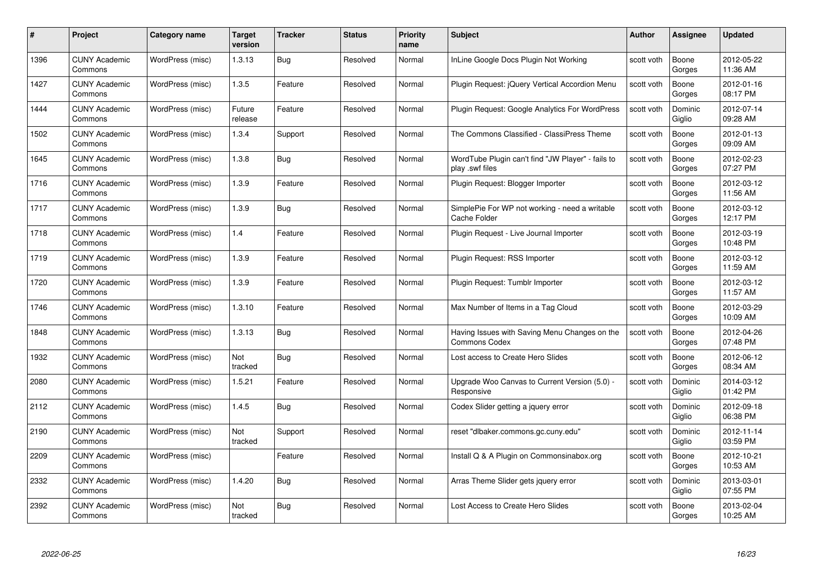| #    | Project                         | <b>Category name</b> | Target<br>version | <b>Tracker</b> | <b>Status</b> | <b>Priority</b><br>name | <b>Subject</b>                                                        | <b>Author</b> | <b>Assignee</b>   | <b>Updated</b>         |
|------|---------------------------------|----------------------|-------------------|----------------|---------------|-------------------------|-----------------------------------------------------------------------|---------------|-------------------|------------------------|
| 1396 | <b>CUNY Academic</b><br>Commons | WordPress (misc)     | 1.3.13            | Bug            | Resolved      | Normal                  | InLine Google Docs Plugin Not Working                                 | scott voth    | Boone<br>Gorges   | 2012-05-22<br>11:36 AM |
| 1427 | <b>CUNY Academic</b><br>Commons | WordPress (misc)     | 1.3.5             | Feature        | Resolved      | Normal                  | Plugin Request: jQuery Vertical Accordion Menu                        | scott voth    | Boone<br>Gorges   | 2012-01-16<br>08:17 PM |
| 1444 | <b>CUNY Academic</b><br>Commons | WordPress (misc)     | Future<br>release | Feature        | Resolved      | Normal                  | Plugin Request: Google Analytics For WordPress                        | scott voth    | Dominic<br>Giglio | 2012-07-14<br>09:28 AM |
| 1502 | <b>CUNY Academic</b><br>Commons | WordPress (misc)     | 1.3.4             | Support        | Resolved      | Normal                  | The Commons Classified - ClassiPress Theme                            | scott voth    | Boone<br>Gorges   | 2012-01-13<br>09:09 AM |
| 1645 | CUNY Academic<br>Commons        | WordPress (misc)     | 1.3.8             | <b>Bug</b>     | Resolved      | Normal                  | WordTube Plugin can't find "JW Player" - fails to<br>play .swf files  | scott voth    | Boone<br>Gorges   | 2012-02-23<br>07:27 PM |
| 1716 | <b>CUNY Academic</b><br>Commons | WordPress (misc)     | 1.3.9             | Feature        | Resolved      | Normal                  | Plugin Request: Blogger Importer                                      | scott voth    | Boone<br>Gorges   | 2012-03-12<br>11:56 AM |
| 1717 | <b>CUNY Academic</b><br>Commons | WordPress (misc)     | 1.3.9             | Bug            | Resolved      | Normal                  | SimplePie For WP not working - need a writable<br><b>Cache Folder</b> | scott voth    | Boone<br>Gorges   | 2012-03-12<br>12:17 PM |
| 1718 | <b>CUNY Academic</b><br>Commons | WordPress (misc)     | 1.4               | Feature        | Resolved      | Normal                  | Plugin Request - Live Journal Importer                                | scott voth    | Boone<br>Gorges   | 2012-03-19<br>10:48 PM |
| 1719 | <b>CUNY Academic</b><br>Commons | WordPress (misc)     | 1.3.9             | Feature        | Resolved      | Normal                  | Plugin Request: RSS Importer                                          | scott voth    | Boone<br>Gorges   | 2012-03-12<br>11:59 AM |
| 1720 | <b>CUNY Academic</b><br>Commons | WordPress (misc)     | 1.3.9             | Feature        | Resolved      | Normal                  | Plugin Request: Tumblr Importer                                       | scott voth    | Boone<br>Gorges   | 2012-03-12<br>11:57 AM |
| 1746 | CUNY Academic<br>Commons        | WordPress (misc)     | 1.3.10            | Feature        | Resolved      | Normal                  | Max Number of Items in a Tag Cloud                                    | scott voth    | Boone<br>Gorges   | 2012-03-29<br>10:09 AM |
| 1848 | <b>CUNY Academic</b><br>Commons | WordPress (misc)     | 1.3.13            | <b>Bug</b>     | Resolved      | Normal                  | Having Issues with Saving Menu Changes on the<br><b>Commons Codex</b> | scott voth    | Boone<br>Gorges   | 2012-04-26<br>07:48 PM |
| 1932 | <b>CUNY Academic</b><br>Commons | WordPress (misc)     | Not<br>tracked    | <b>Bug</b>     | Resolved      | Normal                  | Lost access to Create Hero Slides                                     | scott voth    | Boone<br>Gorges   | 2012-06-12<br>08:34 AM |
| 2080 | <b>CUNY Academic</b><br>Commons | WordPress (misc)     | 1.5.21            | Feature        | Resolved      | Normal                  | Upgrade Woo Canvas to Current Version (5.0) -<br>Responsive           | scott voth    | Dominic<br>Giglio | 2014-03-12<br>01:42 PM |
| 2112 | <b>CUNY Academic</b><br>Commons | WordPress (misc)     | 1.4.5             | Bug            | Resolved      | Normal                  | Codex Slider getting a jquery error                                   | scott voth    | Dominic<br>Giglio | 2012-09-18<br>06:38 PM |
| 2190 | <b>CUNY Academic</b><br>Commons | WordPress (misc)     | Not<br>tracked    | Support        | Resolved      | Normal                  | reset "dlbaker.commons.gc.cuny.edu"                                   | scott voth    | Dominic<br>Giglio | 2012-11-14<br>03:59 PM |
| 2209 | <b>CUNY Academic</b><br>Commons | WordPress (misc)     |                   | Feature        | Resolved      | Normal                  | Install Q & A Plugin on Commonsinabox.org                             | scott voth    | Boone<br>Gorges   | 2012-10-21<br>10:53 AM |
| 2332 | <b>CUNY Academic</b><br>Commons | WordPress (misc)     | 1.4.20            | Bug            | Resolved      | Normal                  | Arras Theme Slider gets jquery error                                  | scott voth    | Dominic<br>Giglio | 2013-03-01<br>07:55 PM |
| 2392 | CUNY Academic<br>Commons        | WordPress (misc)     | Not<br>tracked    | Bug            | Resolved      | Normal                  | Lost Access to Create Hero Slides                                     | scott voth    | Boone<br>Gorges   | 2013-02-04<br>10:25 AM |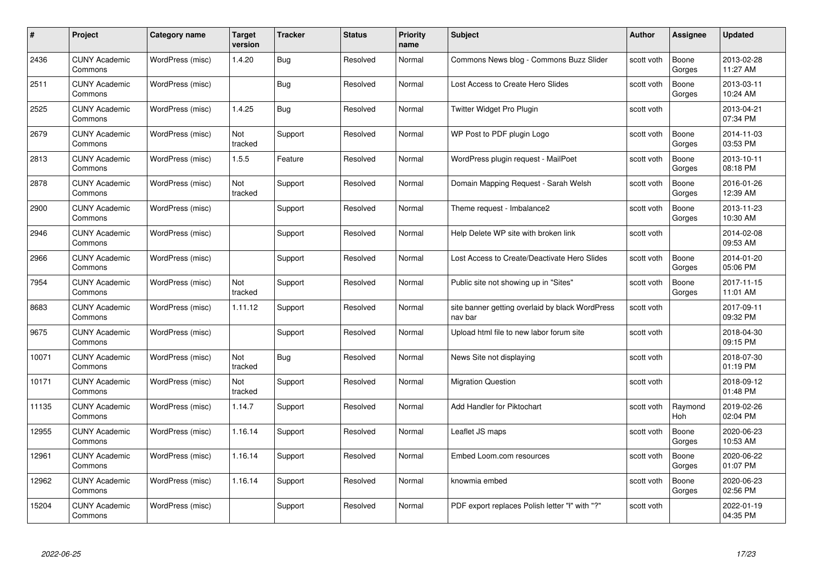| #     | Project                         | <b>Category name</b> | Target<br>version | <b>Tracker</b> | <b>Status</b> | <b>Priority</b><br>name | <b>Subject</b>                                             | <b>Author</b> | <b>Assignee</b> | <b>Updated</b>         |
|-------|---------------------------------|----------------------|-------------------|----------------|---------------|-------------------------|------------------------------------------------------------|---------------|-----------------|------------------------|
| 2436  | <b>CUNY Academic</b><br>Commons | WordPress (misc)     | 1.4.20            | Bug            | Resolved      | Normal                  | Commons News blog - Commons Buzz Slider                    | scott voth    | Boone<br>Gorges | 2013-02-28<br>11:27 AM |
| 2511  | <b>CUNY Academic</b><br>Commons | WordPress (misc)     |                   | Bug            | Resolved      | Normal                  | Lost Access to Create Hero Slides                          | scott voth    | Boone<br>Gorges | 2013-03-11<br>10:24 AM |
| 2525  | <b>CUNY Academic</b><br>Commons | WordPress (misc)     | 1.4.25            | Bug            | Resolved      | Normal                  | Twitter Widget Pro Plugin                                  | scott voth    |                 | 2013-04-21<br>07:34 PM |
| 2679  | <b>CUNY Academic</b><br>Commons | WordPress (misc)     | Not<br>tracked    | Support        | Resolved      | Normal                  | WP Post to PDF plugin Logo                                 | scott voth    | Boone<br>Gorges | 2014-11-03<br>03:53 PM |
| 2813  | CUNY Academic<br>Commons        | WordPress (misc)     | 1.5.5             | Feature        | Resolved      | Normal                  | WordPress plugin request - MailPoet                        | scott voth    | Boone<br>Gorges | 2013-10-11<br>08:18 PM |
| 2878  | <b>CUNY Academic</b><br>Commons | WordPress (misc)     | Not<br>tracked    | Support        | Resolved      | Normal                  | Domain Mapping Request - Sarah Welsh                       | scott voth    | Boone<br>Gorges | 2016-01-26<br>12:39 AM |
| 2900  | <b>CUNY Academic</b><br>Commons | WordPress (misc)     |                   | Support        | Resolved      | Normal                  | Theme request - Imbalance2                                 | scott voth    | Boone<br>Gorges | 2013-11-23<br>10:30 AM |
| 2946  | <b>CUNY Academic</b><br>Commons | WordPress (misc)     |                   | Support        | Resolved      | Normal                  | Help Delete WP site with broken link                       | scott voth    |                 | 2014-02-08<br>09:53 AM |
| 2966  | <b>CUNY Academic</b><br>Commons | WordPress (misc)     |                   | Support        | Resolved      | Normal                  | Lost Access to Create/Deactivate Hero Slides               | scott voth    | Boone<br>Gorges | 2014-01-20<br>05:06 PM |
| 7954  | <b>CUNY Academic</b><br>Commons | WordPress (misc)     | Not<br>tracked    | Support        | Resolved      | Normal                  | Public site not showing up in "Sites"                      | scott voth    | Boone<br>Gorges | 2017-11-15<br>11:01 AM |
| 8683  | CUNY Academic<br>Commons        | WordPress (misc)     | 1.11.12           | Support        | Resolved      | Normal                  | site banner getting overlaid by black WordPress<br>nav bar | scott voth    |                 | 2017-09-11<br>09:32 PM |
| 9675  | <b>CUNY Academic</b><br>Commons | WordPress (misc)     |                   | Support        | Resolved      | Normal                  | Upload html file to new labor forum site                   | scott voth    |                 | 2018-04-30<br>09:15 PM |
| 10071 | <b>CUNY Academic</b><br>Commons | WordPress (misc)     | Not<br>tracked    | Bug            | Resolved      | Normal                  | News Site not displaying                                   | scott voth    |                 | 2018-07-30<br>01:19 PM |
| 10171 | <b>CUNY Academic</b><br>Commons | WordPress (misc)     | Not<br>tracked    | Support        | Resolved      | Normal                  | <b>Migration Question</b>                                  | scott voth    |                 | 2018-09-12<br>01:48 PM |
| 11135 | <b>CUNY Academic</b><br>Commons | WordPress (misc)     | 1.14.7            | Support        | Resolved      | Normal                  | Add Handler for Piktochart                                 | scott voth    | Raymond<br>Hoh  | 2019-02-26<br>02:04 PM |
| 12955 | <b>CUNY Academic</b><br>Commons | WordPress (misc)     | 1.16.14           | Support        | Resolved      | Normal                  | Leaflet JS maps                                            | scott voth    | Boone<br>Gorges | 2020-06-23<br>10:53 AM |
| 12961 | <b>CUNY Academic</b><br>Commons | WordPress (misc)     | 1.16.14           | Support        | Resolved      | Normal                  | Embed Loom.com resources                                   | scott voth    | Boone<br>Gorges | 2020-06-22<br>01:07 PM |
| 12962 | <b>CUNY Academic</b><br>Commons | WordPress (misc)     | 1.16.14           | Support        | Resolved      | Normal                  | knowmia embed                                              | scott voth    | Boone<br>Gorges | 2020-06-23<br>02:56 PM |
| 15204 | CUNY Academic<br>Commons        | WordPress (misc)     |                   | Support        | Resolved      | Normal                  | PDF export replaces Polish letter "ł" with "?"             | scott voth    |                 | 2022-01-19<br>04:35 PM |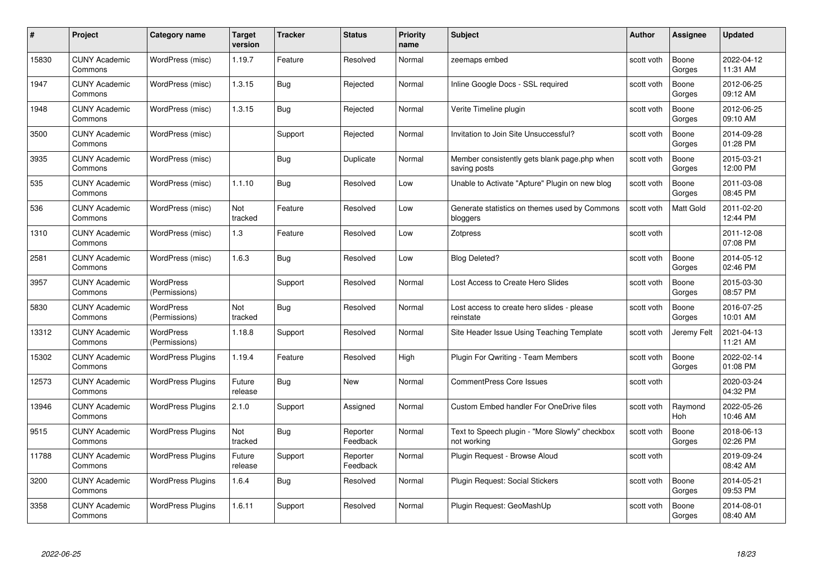| #     | Project                         | Category name                     | <b>Target</b><br>version | <b>Tracker</b> | <b>Status</b>        | <b>Priority</b><br>name | <b>Subject</b>                                                | <b>Author</b> | Assignee              | <b>Updated</b>         |
|-------|---------------------------------|-----------------------------------|--------------------------|----------------|----------------------|-------------------------|---------------------------------------------------------------|---------------|-----------------------|------------------------|
| 15830 | <b>CUNY Academic</b><br>Commons | WordPress (misc)                  | 1.19.7                   | Feature        | Resolved             | Normal                  | zeemaps embed                                                 | scott voth    | Boone<br>Gorges       | 2022-04-12<br>11:31 AM |
| 1947  | <b>CUNY Academic</b><br>Commons | WordPress (misc)                  | 1.3.15                   | <b>Bug</b>     | Rejected             | Normal                  | Inline Google Docs - SSL required                             | scott voth    | Boone<br>Gorges       | 2012-06-25<br>09:12 AM |
| 1948  | <b>CUNY Academic</b><br>Commons | WordPress (misc)                  | 1.3.15                   | <b>Bug</b>     | Rejected             | Normal                  | Verite Timeline plugin                                        | scott voth    | Boone<br>Gorges       | 2012-06-25<br>09:10 AM |
| 3500  | <b>CUNY Academic</b><br>Commons | WordPress (misc)                  |                          | Support        | Rejected             | Normal                  | Invitation to Join Site Unsuccessful?                         | scott voth    | Boone<br>Gorges       | 2014-09-28<br>01:28 PM |
| 3935  | <b>CUNY Academic</b><br>Commons | WordPress (misc)                  |                          | Bug            | Duplicate            | Normal                  | Member consistently gets blank page php when<br>saving posts  | scott voth    | Boone<br>Gorges       | 2015-03-21<br>12:00 PM |
| 535   | <b>CUNY Academic</b><br>Commons | WordPress (misc)                  | 1.1.10                   | <b>Bug</b>     | Resolved             | Low                     | Unable to Activate "Apture" Plugin on new blog                | scott voth    | Boone<br>Gorges       | 2011-03-08<br>08:45 PM |
| 536   | <b>CUNY Academic</b><br>Commons | WordPress (misc)                  | Not<br>tracked           | Feature        | Resolved             | Low                     | Generate statistics on themes used by Commons<br>bloggers     | scott voth    | Matt Gold             | 2011-02-20<br>12:44 PM |
| 1310  | <b>CUNY Academic</b><br>Commons | WordPress (misc)                  | $1.3$                    | Feature        | Resolved             | Low                     | Zotpress                                                      | scott voth    |                       | 2011-12-08<br>07:08 PM |
| 2581  | <b>CUNY Academic</b><br>Commons | WordPress (misc)                  | 1.6.3                    | <b>Bug</b>     | Resolved             | Low                     | <b>Blog Deleted?</b>                                          | scott voth    | Boone<br>Gorges       | 2014-05-12<br>02:46 PM |
| 3957  | <b>CUNY Academic</b><br>Commons | <b>WordPress</b><br>(Permissions) |                          | Support        | Resolved             | Normal                  | Lost Access to Create Hero Slides                             | scott voth    | Boone<br>Gorges       | 2015-03-30<br>08:57 PM |
| 5830  | <b>CUNY Academic</b><br>Commons | WordPress<br>(Permissions)        | Not<br>tracked           | Bug            | Resolved             | Normal                  | Lost access to create hero slides - please<br>reinstate       | scott voth    | Boone<br>Gorges       | 2016-07-25<br>10:01 AM |
| 13312 | <b>CUNY Academic</b><br>Commons | <b>WordPress</b><br>(Permissions) | 1.18.8                   | Support        | Resolved             | Normal                  | Site Header Issue Using Teaching Template                     | scott voth    | Jeremy Felt           | 2021-04-13<br>11:21 AM |
| 15302 | <b>CUNY Academic</b><br>Commons | <b>WordPress Plugins</b>          | 1.19.4                   | Feature        | Resolved             | High                    | Plugin For Qwriting - Team Members                            | scott voth    | Boone<br>Gorges       | 2022-02-14<br>01:08 PM |
| 12573 | <b>CUNY Academic</b><br>Commons | <b>WordPress Plugins</b>          | Future<br>release        | <b>Bug</b>     | New                  | Normal                  | <b>CommentPress Core Issues</b>                               | scott voth    |                       | 2020-03-24<br>04:32 PM |
| 13946 | <b>CUNY Academic</b><br>Commons | <b>WordPress Plugins</b>          | 2.1.0                    | Support        | Assigned             | Normal                  | <b>Custom Embed handler For OneDrive files</b>                | scott voth    | Raymond<br><b>Hoh</b> | 2022-05-26<br>10:46 AM |
| 9515  | <b>CUNY Academic</b><br>Commons | <b>WordPress Plugins</b>          | Not<br>tracked           | Bug            | Reporter<br>Feedback | Normal                  | Text to Speech plugin - "More Slowly" checkbox<br>not working | scott voth    | Boone<br>Gorges       | 2018-06-13<br>02:26 PM |
| 11788 | <b>CUNY Academic</b><br>Commons | <b>WordPress Plugins</b>          | Future<br>release        | Support        | Reporter<br>Feedback | Normal                  | Plugin Request - Browse Aloud                                 | scott voth    |                       | 2019-09-24<br>08:42 AM |
| 3200  | <b>CUNY Academic</b><br>Commons | <b>WordPress Plugins</b>          | 1.6.4                    | Bug            | Resolved             | Normal                  | Plugin Request: Social Stickers                               | scott voth    | Boone<br>Gorges       | 2014-05-21<br>09:53 PM |
| 3358  | <b>CUNY Academic</b><br>Commons | <b>WordPress Plugins</b>          | 1.6.11                   | Support        | Resolved             | Normal                  | Plugin Request: GeoMashUp                                     | scott voth    | Boone<br>Gorges       | 2014-08-01<br>08:40 AM |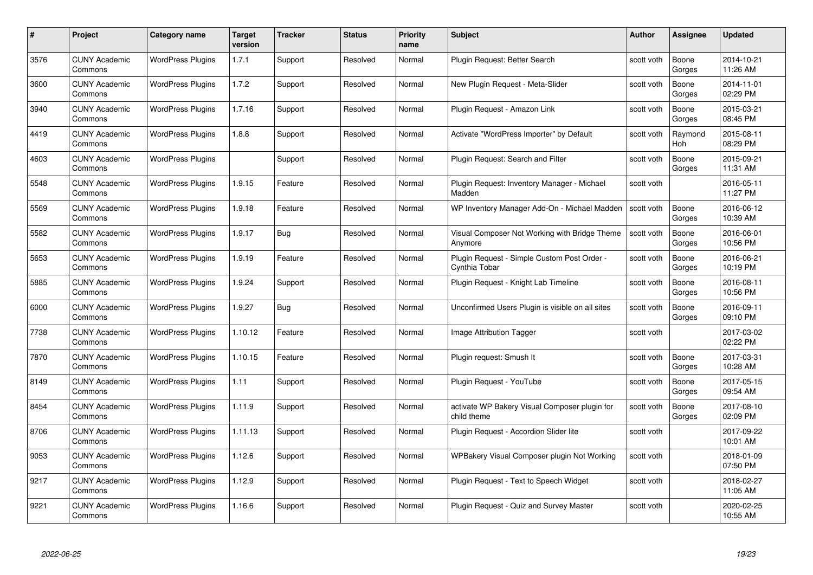| #    | Project                         | Category name            | Target<br>version | <b>Tracker</b> | <b>Status</b> | <b>Priority</b><br>name | <b>Subject</b>                                               | <b>Author</b> | <b>Assignee</b> | <b>Updated</b>         |
|------|---------------------------------|--------------------------|-------------------|----------------|---------------|-------------------------|--------------------------------------------------------------|---------------|-----------------|------------------------|
| 3576 | <b>CUNY Academic</b><br>Commons | <b>WordPress Plugins</b> | 1.7.1             | Support        | Resolved      | Normal                  | Plugin Request: Better Search                                | scott voth    | Boone<br>Gorges | 2014-10-21<br>11:26 AM |
| 3600 | <b>CUNY Academic</b><br>Commons | <b>WordPress Plugins</b> | 1.7.2             | Support        | Resolved      | Normal                  | New Plugin Request - Meta-Slider                             | scott voth    | Boone<br>Gorges | 2014-11-01<br>02:29 PM |
| 3940 | <b>CUNY Academic</b><br>Commons | <b>WordPress Plugins</b> | 1.7.16            | Support        | Resolved      | Normal                  | Plugin Request - Amazon Link                                 | scott voth    | Boone<br>Gorges | 2015-03-21<br>08:45 PM |
| 4419 | <b>CUNY Academic</b><br>Commons | <b>WordPress Plugins</b> | 1.8.8             | Support        | Resolved      | Normal                  | Activate "WordPress Importer" by Default                     | scott voth    | Raymond<br>Hoh  | 2015-08-11<br>08:29 PM |
| 4603 | <b>CUNY Academic</b><br>Commons | <b>WordPress Plugins</b> |                   | Support        | Resolved      | Normal                  | Plugin Request: Search and Filter                            | scott voth    | Boone<br>Gorges | 2015-09-21<br>11:31 AM |
| 5548 | <b>CUNY Academic</b><br>Commons | <b>WordPress Plugins</b> | 1.9.15            | Feature        | Resolved      | Normal                  | Plugin Request: Inventory Manager - Michael<br>Madden        | scott voth    |                 | 2016-05-11<br>11:27 PM |
| 5569 | <b>CUNY Academic</b><br>Commons | <b>WordPress Plugins</b> | 1.9.18            | Feature        | Resolved      | Normal                  | WP Inventory Manager Add-On - Michael Madden                 | scott voth    | Boone<br>Gorges | 2016-06-12<br>10:39 AM |
| 5582 | <b>CUNY Academic</b><br>Commons | <b>WordPress Plugins</b> | 1.9.17            | Bug            | Resolved      | Normal                  | Visual Composer Not Working with Bridge Theme<br>Anymore     | scott voth    | Boone<br>Gorges | 2016-06-01<br>10:56 PM |
| 5653 | <b>CUNY Academic</b><br>Commons | <b>WordPress Plugins</b> | 1.9.19            | Feature        | Resolved      | Normal                  | Plugin Request - Simple Custom Post Order -<br>Cynthia Tobar | scott voth    | Boone<br>Gorges | 2016-06-21<br>10:19 PM |
| 5885 | <b>CUNY Academic</b><br>Commons | <b>WordPress Plugins</b> | 1.9.24            | Support        | Resolved      | Normal                  | Plugin Reguest - Knight Lab Timeline                         | scott voth    | Boone<br>Gorges | 2016-08-11<br>10:56 PM |
| 6000 | <b>CUNY Academic</b><br>Commons | <b>WordPress Plugins</b> | 1.9.27            | <b>Bug</b>     | Resolved      | Normal                  | Unconfirmed Users Plugin is visible on all sites             | scott voth    | Boone<br>Gorges | 2016-09-11<br>09:10 PM |
| 7738 | <b>CUNY Academic</b><br>Commons | <b>WordPress Plugins</b> | 1.10.12           | Feature        | Resolved      | Normal                  | Image Attribution Tagger                                     | scott voth    |                 | 2017-03-02<br>02:22 PM |
| 7870 | <b>CUNY Academic</b><br>Commons | <b>WordPress Plugins</b> | 1.10.15           | Feature        | Resolved      | Normal                  | Plugin request: Smush It                                     | scott voth    | Boone<br>Gorges | 2017-03-31<br>10:28 AM |
| 8149 | <b>CUNY Academic</b><br>Commons | <b>WordPress Plugins</b> | 1.11              | Support        | Resolved      | Normal                  | Plugin Request - YouTube                                     | scott voth    | Boone<br>Gorges | 2017-05-15<br>09:54 AM |
| 8454 | <b>CUNY Academic</b><br>Commons | <b>WordPress Plugins</b> | 1.11.9            | Support        | Resolved      | Normal                  | activate WP Bakery Visual Composer plugin for<br>child theme | scott voth    | Boone<br>Gorges | 2017-08-10<br>02:09 PM |
| 8706 | <b>CUNY Academic</b><br>Commons | <b>WordPress Plugins</b> | 1.11.13           | Support        | Resolved      | Normal                  | Plugin Request - Accordion Slider lite                       | scott voth    |                 | 2017-09-22<br>10:01 AM |
| 9053 | <b>CUNY Academic</b><br>Commons | <b>WordPress Plugins</b> | 1.12.6            | Support        | Resolved      | Normal                  | WPBakery Visual Composer plugin Not Working                  | scott voth    |                 | 2018-01-09<br>07:50 PM |
| 9217 | <b>CUNY Academic</b><br>Commons | <b>WordPress Plugins</b> | 1.12.9            | Support        | Resolved      | Normal                  | Plugin Request - Text to Speech Widget                       | scott voth    |                 | 2018-02-27<br>11:05 AM |
| 9221 | CUNY Academic<br>Commons        | <b>WordPress Plugins</b> | 1.16.6            | Support        | Resolved      | Normal                  | Plugin Reguest - Quiz and Survey Master                      | scott voth    |                 | 2020-02-25<br>10:55 AM |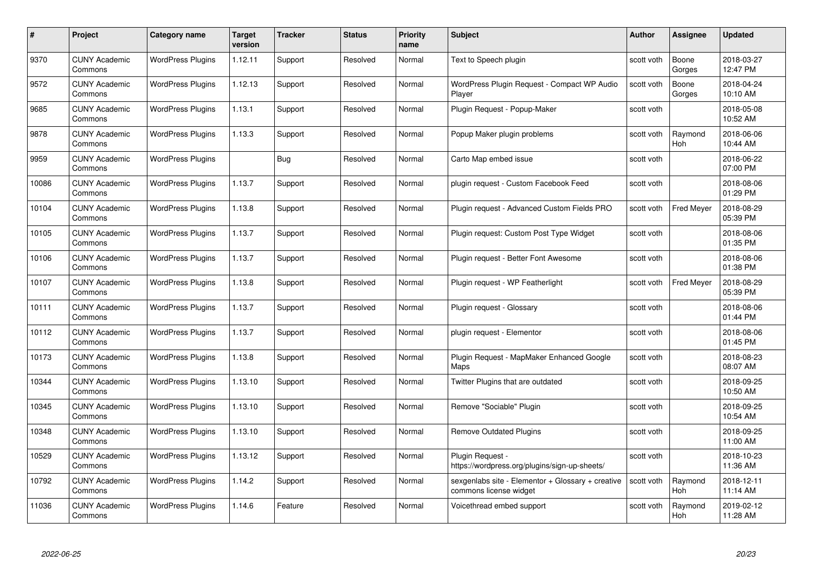| #     | Project                         | <b>Category name</b>     | Target<br>version | <b>Tracker</b> | <b>Status</b> | <b>Priority</b><br>name | <b>Subject</b>                                                              | <b>Author</b> | <b>Assignee</b>       | <b>Updated</b>         |
|-------|---------------------------------|--------------------------|-------------------|----------------|---------------|-------------------------|-----------------------------------------------------------------------------|---------------|-----------------------|------------------------|
| 9370  | <b>CUNY Academic</b><br>Commons | <b>WordPress Plugins</b> | 1.12.11           | Support        | Resolved      | Normal                  | Text to Speech plugin                                                       | scott voth    | Boone<br>Gorges       | 2018-03-27<br>12:47 PM |
| 9572  | <b>CUNY Academic</b><br>Commons | <b>WordPress Plugins</b> | 1.12.13           | Support        | Resolved      | Normal                  | WordPress Plugin Request - Compact WP Audio<br>Player                       | scott voth    | Boone<br>Gorges       | 2018-04-24<br>10:10 AM |
| 9685  | <b>CUNY Academic</b><br>Commons | <b>WordPress Plugins</b> | 1.13.1            | Support        | Resolved      | Normal                  | Plugin Request - Popup-Maker                                                | scott voth    |                       | 2018-05-08<br>10:52 AM |
| 9878  | <b>CUNY Academic</b><br>Commons | <b>WordPress Plugins</b> | 1.13.3            | Support        | Resolved      | Normal                  | Popup Maker plugin problems                                                 | scott voth    | Raymond<br>Hoh        | 2018-06-06<br>10:44 AM |
| 9959  | <b>CUNY Academic</b><br>Commons | <b>WordPress Plugins</b> |                   | Bug            | Resolved      | Normal                  | Carto Map embed issue                                                       | scott voth    |                       | 2018-06-22<br>07:00 PM |
| 10086 | <b>CUNY Academic</b><br>Commons | <b>WordPress Plugins</b> | 1.13.7            | Support        | Resolved      | Normal                  | plugin request - Custom Facebook Feed                                       | scott voth    |                       | 2018-08-06<br>01:29 PM |
| 10104 | <b>CUNY Academic</b><br>Commons | <b>WordPress Plugins</b> | 1.13.8            | Support        | Resolved      | Normal                  | Plugin request - Advanced Custom Fields PRO                                 | scott voth    | <b>Fred Meyer</b>     | 2018-08-29<br>05:39 PM |
| 10105 | <b>CUNY Academic</b><br>Commons | <b>WordPress Plugins</b> | 1.13.7            | Support        | Resolved      | Normal                  | Plugin request: Custom Post Type Widget                                     | scott voth    |                       | 2018-08-06<br>01:35 PM |
| 10106 | <b>CUNY Academic</b><br>Commons | <b>WordPress Plugins</b> | 1.13.7            | Support        | Resolved      | Normal                  | Plugin request - Better Font Awesome                                        | scott voth    |                       | 2018-08-06<br>01:38 PM |
| 10107 | <b>CUNY Academic</b><br>Commons | <b>WordPress Plugins</b> | 1.13.8            | Support        | Resolved      | Normal                  | Plugin request - WP Featherlight                                            | scott voth    | <b>Fred Meyer</b>     | 2018-08-29<br>05:39 PM |
| 10111 | CUNY Academic<br>Commons        | <b>WordPress Plugins</b> | 1.13.7            | Support        | Resolved      | Normal                  | Plugin request - Glossary                                                   | scott voth    |                       | 2018-08-06<br>01:44 PM |
| 10112 | <b>CUNY Academic</b><br>Commons | <b>WordPress Plugins</b> | 1.13.7            | Support        | Resolved      | Normal                  | plugin request - Elementor                                                  | scott voth    |                       | 2018-08-06<br>01:45 PM |
| 10173 | <b>CUNY Academic</b><br>Commons | <b>WordPress Plugins</b> | 1.13.8            | Support        | Resolved      | Normal                  | Plugin Request - MapMaker Enhanced Google<br>Maps                           | scott voth    |                       | 2018-08-23<br>08:07 AM |
| 10344 | <b>CUNY Academic</b><br>Commons | <b>WordPress Plugins</b> | 1.13.10           | Support        | Resolved      | Normal                  | Twitter Plugins that are outdated                                           | scott voth    |                       | 2018-09-25<br>10:50 AM |
| 10345 | <b>CUNY Academic</b><br>Commons | <b>WordPress Plugins</b> | 1.13.10           | Support        | Resolved      | Normal                  | Remove "Sociable" Plugin                                                    | scott voth    |                       | 2018-09-25<br>10:54 AM |
| 10348 | <b>CUNY Academic</b><br>Commons | <b>WordPress Plugins</b> | 1.13.10           | Support        | Resolved      | Normal                  | <b>Remove Outdated Plugins</b>                                              | scott voth    |                       | 2018-09-25<br>11:00 AM |
| 10529 | <b>CUNY Academic</b><br>Commons | <b>WordPress Plugins</b> | 1.13.12           | Support        | Resolved      | Normal                  | Plugin Request -<br>https://wordpress.org/plugins/sign-up-sheets/           | scott voth    |                       | 2018-10-23<br>11:36 AM |
| 10792 | <b>CUNY Academic</b><br>Commons | <b>WordPress Plugins</b> | 1.14.2            | Support        | Resolved      | Normal                  | sexgenlabs site - Elementor + Glossary + creative<br>commons license widget | scott voth    | Raymond<br>Hoh        | 2018-12-11<br>11:14 AM |
| 11036 | <b>CUNY Academic</b><br>Commons | <b>WordPress Plugins</b> | 1.14.6            | Feature        | Resolved      | Normal                  | Voicethread embed support                                                   | scott voth    | Raymond<br><b>Hoh</b> | 2019-02-12<br>11:28 AM |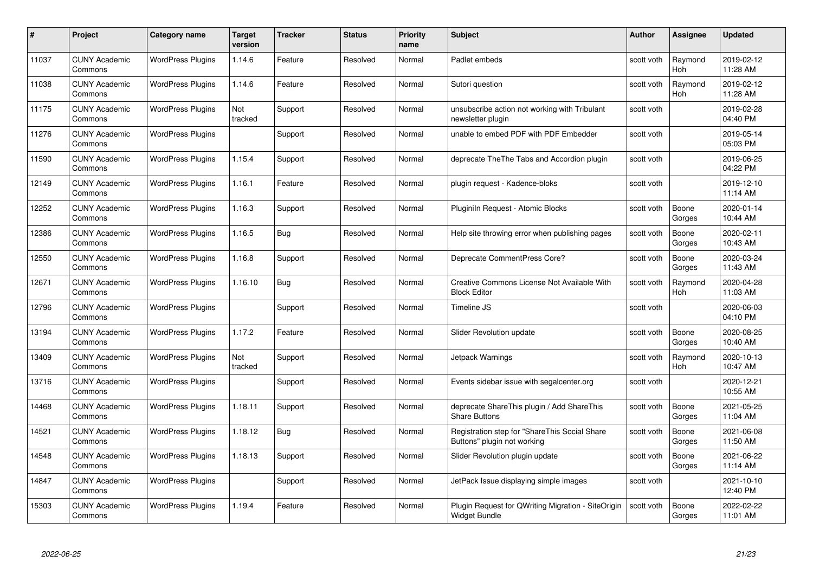| #     | Project                         | Category name            | <b>Target</b><br>version | <b>Tracker</b> | <b>Status</b> | <b>Priority</b><br>name | <b>Subject</b>                                                               | <b>Author</b> | <b>Assignee</b>       | <b>Updated</b>         |
|-------|---------------------------------|--------------------------|--------------------------|----------------|---------------|-------------------------|------------------------------------------------------------------------------|---------------|-----------------------|------------------------|
| 11037 | <b>CUNY Academic</b><br>Commons | <b>WordPress Plugins</b> | 1.14.6                   | Feature        | Resolved      | Normal                  | Padlet embeds                                                                | scott voth    | Raymond<br><b>Hoh</b> | 2019-02-12<br>11:28 AM |
| 11038 | <b>CUNY Academic</b><br>Commons | <b>WordPress Plugins</b> | 1.14.6                   | Feature        | Resolved      | Normal                  | Sutori question                                                              | scott voth    | Raymond<br><b>Hoh</b> | 2019-02-12<br>11:28 AM |
| 11175 | <b>CUNY Academic</b><br>Commons | <b>WordPress Plugins</b> | Not<br>tracked           | Support        | Resolved      | Normal                  | unsubscribe action not working with Tribulant<br>newsletter plugin           | scott voth    |                       | 2019-02-28<br>04:40 PM |
| 11276 | <b>CUNY Academic</b><br>Commons | <b>WordPress Plugins</b> |                          | Support        | Resolved      | Normal                  | unable to embed PDF with PDF Embedder                                        | scott voth    |                       | 2019-05-14<br>05:03 PM |
| 11590 | <b>CUNY Academic</b><br>Commons | <b>WordPress Plugins</b> | 1.15.4                   | Support        | Resolved      | Normal                  | deprecate The The Tabs and Accordion plugin                                  | scott voth    |                       | 2019-06-25<br>04:22 PM |
| 12149 | <b>CUNY Academic</b><br>Commons | <b>WordPress Plugins</b> | 1.16.1                   | Feature        | Resolved      | Normal                  | plugin request - Kadence-bloks                                               | scott voth    |                       | 2019-12-10<br>11:14 AM |
| 12252 | <b>CUNY Academic</b><br>Commons | <b>WordPress Plugins</b> | 1.16.3                   | Support        | Resolved      | Normal                  | Pluginiln Request - Atomic Blocks                                            | scott voth    | Boone<br>Gorges       | 2020-01-14<br>10:44 AM |
| 12386 | <b>CUNY Academic</b><br>Commons | <b>WordPress Plugins</b> | 1.16.5                   | Bug            | Resolved      | Normal                  | Help site throwing error when publishing pages                               | scott voth    | Boone<br>Gorges       | 2020-02-11<br>10:43 AM |
| 12550 | <b>CUNY Academic</b><br>Commons | <b>WordPress Plugins</b> | 1.16.8                   | Support        | Resolved      | Normal                  | Deprecate CommentPress Core?                                                 | scott voth    | Boone<br>Gorges       | 2020-03-24<br>11:43 AM |
| 12671 | <b>CUNY Academic</b><br>Commons | <b>WordPress Plugins</b> | 1.16.10                  | Bug            | Resolved      | Normal                  | Creative Commons License Not Available With<br><b>Block Editor</b>           | scott voth    | Raymond<br>Hoh        | 2020-04-28<br>11:03 AM |
| 12796 | <b>CUNY Academic</b><br>Commons | <b>WordPress Plugins</b> |                          | Support        | Resolved      | Normal                  | Timeline JS                                                                  | scott voth    |                       | 2020-06-03<br>04:10 PM |
| 13194 | <b>CUNY Academic</b><br>Commons | <b>WordPress Plugins</b> | 1.17.2                   | Feature        | Resolved      | Normal                  | Slider Revolution update                                                     | scott voth    | Boone<br>Gorges       | 2020-08-25<br>10:40 AM |
| 13409 | <b>CUNY Academic</b><br>Commons | <b>WordPress Plugins</b> | Not<br>tracked           | Support        | Resolved      | Normal                  | Jetpack Warnings                                                             | scott voth    | Raymond<br>Hoh        | 2020-10-13<br>10:47 AM |
| 13716 | <b>CUNY Academic</b><br>Commons | <b>WordPress Plugins</b> |                          | Support        | Resolved      | Normal                  | Events sidebar issue with segalcenter.org                                    | scott voth    |                       | 2020-12-21<br>10:55 AM |
| 14468 | <b>CUNY Academic</b><br>Commons | <b>WordPress Plugins</b> | 1.18.11                  | Support        | Resolved      | Normal                  | deprecate ShareThis plugin / Add ShareThis<br><b>Share Buttons</b>           | scott voth    | Boone<br>Gorges       | 2021-05-25<br>11:04 AM |
| 14521 | <b>CUNY Academic</b><br>Commons | <b>WordPress Plugins</b> | 1.18.12                  | <b>Bug</b>     | Resolved      | Normal                  | Registration step for "ShareThis Social Share<br>Buttons" plugin not working | scott voth    | Boone<br>Gorges       | 2021-06-08<br>11:50 AM |
| 14548 | <b>CUNY Academic</b><br>Commons | <b>WordPress Plugins</b> | 1.18.13                  | Support        | Resolved      | Normal                  | Slider Revolution plugin update                                              | scott voth    | Boone<br>Gorges       | 2021-06-22<br>11:14 AM |
| 14847 | <b>CUNY Academic</b><br>Commons | <b>WordPress Plugins</b> |                          | Support        | Resolved      | Normal                  | JetPack Issue displaying simple images                                       | scott voth    |                       | 2021-10-10<br>12:40 PM |
| 15303 | <b>CUNY Academic</b><br>Commons | <b>WordPress Plugins</b> | 1.19.4                   | Feature        | Resolved      | Normal                  | Plugin Request for QWriting Migration - SiteOrigin<br>Widget Bundle          | scott voth    | Boone<br>Gorges       | 2022-02-22<br>11:01 AM |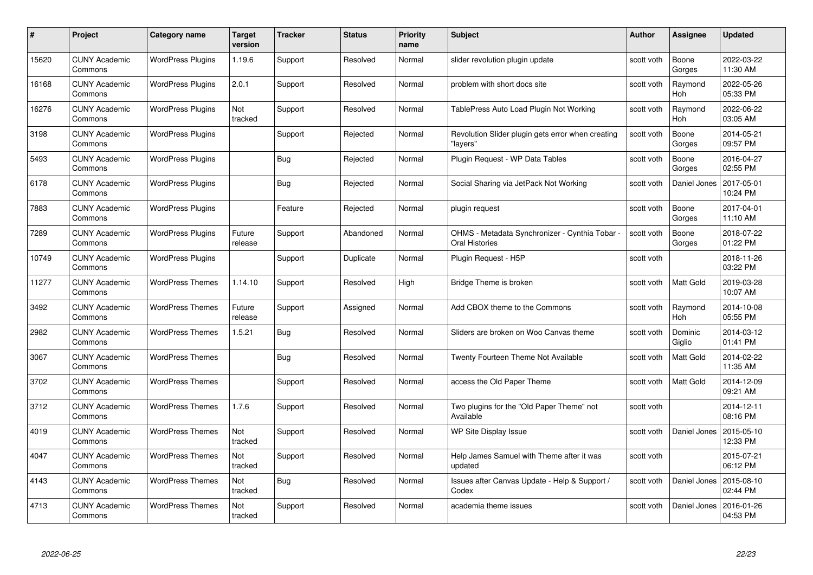| #     | Project                         | Category name            | Target<br>version | <b>Tracker</b> | <b>Status</b> | <b>Priority</b><br>name | <b>Subject</b>                                                   | <b>Author</b> | <b>Assignee</b>       | <b>Updated</b>         |
|-------|---------------------------------|--------------------------|-------------------|----------------|---------------|-------------------------|------------------------------------------------------------------|---------------|-----------------------|------------------------|
| 15620 | <b>CUNY Academic</b><br>Commons | <b>WordPress Plugins</b> | 1.19.6            | Support        | Resolved      | Normal                  | slider revolution plugin update                                  | scott voth    | Boone<br>Gorges       | 2022-03-22<br>11:30 AM |
| 16168 | <b>CUNY Academic</b><br>Commons | <b>WordPress Plugins</b> | 2.0.1             | Support        | Resolved      | Normal                  | problem with short docs site                                     | scott voth    | Raymond<br><b>Hoh</b> | 2022-05-26<br>05:33 PM |
| 16276 | <b>CUNY Academic</b><br>Commons | <b>WordPress Plugins</b> | Not<br>tracked    | Support        | Resolved      | Normal                  | TablePress Auto Load Plugin Not Working                          | scott voth    | Raymond<br>Hoh        | 2022-06-22<br>03:05 AM |
| 3198  | <b>CUNY Academic</b><br>Commons | <b>WordPress Plugins</b> |                   | Support        | Rejected      | Normal                  | Revolution Slider plugin gets error when creating<br>"lavers"    | scott voth    | Boone<br>Gorges       | 2014-05-21<br>09:57 PM |
| 5493  | <b>CUNY Academic</b><br>Commons | <b>WordPress Plugins</b> |                   | <b>Bug</b>     | Rejected      | Normal                  | Plugin Request - WP Data Tables                                  | scott voth    | Boone<br>Gorges       | 2016-04-27<br>02:55 PM |
| 6178  | <b>CUNY Academic</b><br>Commons | <b>WordPress Plugins</b> |                   | <b>Bug</b>     | Rejected      | Normal                  | Social Sharing via JetPack Not Working                           | scott voth    | Daniel Jones          | 2017-05-01<br>10:24 PM |
| 7883  | <b>CUNY Academic</b><br>Commons | <b>WordPress Plugins</b> |                   | Feature        | Rejected      | Normal                  | plugin request                                                   | scott voth    | Boone<br>Gorges       | 2017-04-01<br>11:10 AM |
| 7289  | <b>CUNY Academic</b><br>Commons | <b>WordPress Plugins</b> | Future<br>release | Support        | Abandoned     | Normal                  | OHMS - Metadata Synchronizer - Cynthia Tobar -<br>Oral Histories | scott voth    | Boone<br>Gorges       | 2018-07-22<br>01:22 PM |
| 10749 | <b>CUNY Academic</b><br>Commons | <b>WordPress Plugins</b> |                   | Support        | Duplicate     | Normal                  | Plugin Request - H5P                                             | scott voth    |                       | 2018-11-26<br>03:22 PM |
| 11277 | <b>CUNY Academic</b><br>Commons | <b>WordPress Themes</b>  | 1.14.10           | Support        | Resolved      | High                    | Bridge Theme is broken                                           | scott voth    | Matt Gold             | 2019-03-28<br>10:07 AM |
| 3492  | <b>CUNY Academic</b><br>Commons | <b>WordPress Themes</b>  | Future<br>release | Support        | Assigned      | Normal                  | Add CBOX theme to the Commons                                    | scott voth    | Raymond<br>Hoh        | 2014-10-08<br>05:55 PM |
| 2982  | <b>CUNY Academic</b><br>Commons | <b>WordPress Themes</b>  | 1.5.21            | <b>Bug</b>     | Resolved      | Normal                  | Sliders are broken on Woo Canvas theme                           | scott voth    | Dominic<br>Giglio     | 2014-03-12<br>01:41 PM |
| 3067  | <b>CUNY Academic</b><br>Commons | <b>WordPress Themes</b>  |                   | Bug            | Resolved      | Normal                  | Twenty Fourteen Theme Not Available                              | scott voth    | <b>Matt Gold</b>      | 2014-02-22<br>11:35 AM |
| 3702  | <b>CUNY Academic</b><br>Commons | <b>WordPress Themes</b>  |                   | Support        | Resolved      | Normal                  | access the Old Paper Theme                                       | scott voth    | Matt Gold             | 2014-12-09<br>09:21 AM |
| 3712  | <b>CUNY Academic</b><br>Commons | <b>WordPress Themes</b>  | 1.7.6             | Support        | Resolved      | Normal                  | Two plugins for the "Old Paper Theme" not<br>Available           | scott voth    |                       | 2014-12-11<br>08:16 PM |
| 4019  | <b>CUNY Academic</b><br>Commons | <b>WordPress Themes</b>  | Not<br>tracked    | Support        | Resolved      | Normal                  | WP Site Display Issue                                            | scott voth    | Daniel Jones          | 2015-05-10<br>12:33 PM |
| 4047  | <b>CUNY Academic</b><br>Commons | <b>WordPress Themes</b>  | Not<br>tracked    | Support        | Resolved      | Normal                  | Help James Samuel with Theme after it was<br>updated             | scott voth    |                       | 2015-07-21<br>06:12 PM |
| 4143  | <b>CUNY Academic</b><br>Commons | <b>WordPress Themes</b>  | Not<br>tracked    | <b>Bug</b>     | Resolved      | Normal                  | Issues after Canvas Update - Help & Support /<br>Codex           | scott voth    | Daniel Jones          | 2015-08-10<br>02:44 PM |
| 4713  | CUNY Academic<br>Commons        | <b>WordPress Themes</b>  | Not<br>tracked    | Support        | Resolved      | Normal                  | academia theme issues                                            | scott voth    | Daniel Jones          | 2016-01-26<br>04:53 PM |